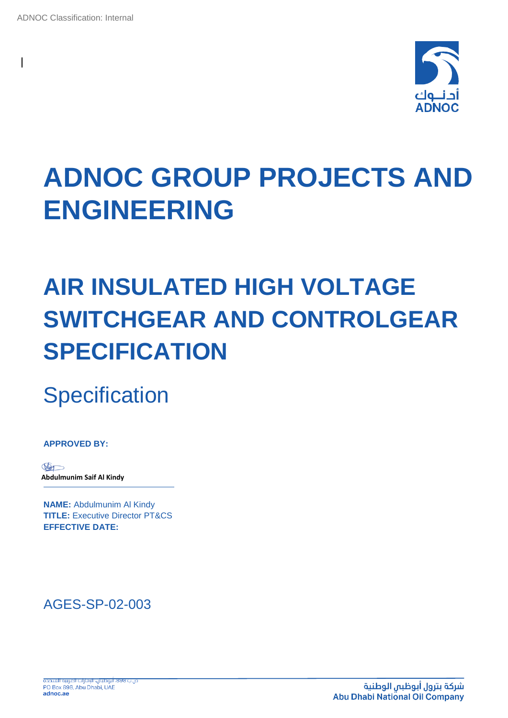

# **ADNOC GROUP PROJECTS AND ENGINEERING**

## **AIR INSULATED HIGH VOLTAGE SWITCHGEAR AND CONTROLGEAR SPECIFICATION**

**Specification** 

**APPROVED BY:**

Mo **Abdulmunim Saif Al Kindy**

**NAME:** Abdulmunim Al Kindy **TITLE:** Executive Director PT&CS **EFFECTIVE DATE:**

## AGES-SP-02-003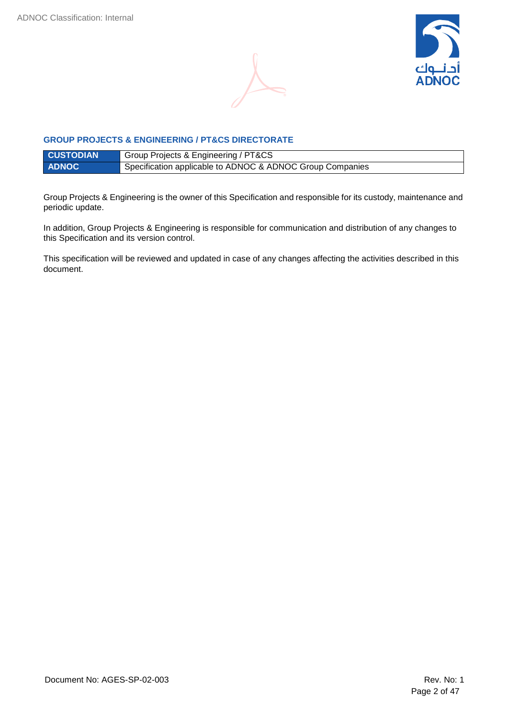



#### **GROUP PROJECTS & ENGINEERING / PT&CS DIRECTORATE**

| <b>CUSTODIAN</b> | Group Projects & Engineering / PT&CS                      |
|------------------|-----------------------------------------------------------|
| <b>ADNOC</b>     | Specification applicable to ADNOC & ADNOC Group Companies |

Group Projects & Engineering is the owner of this Specification and responsible for its custody, maintenance and periodic update.

In addition, Group Projects & Engineering is responsible for communication and distribution of any changes to this Specification and its version control.

This specification will be reviewed and updated in case of any changes affecting the activities described in this document.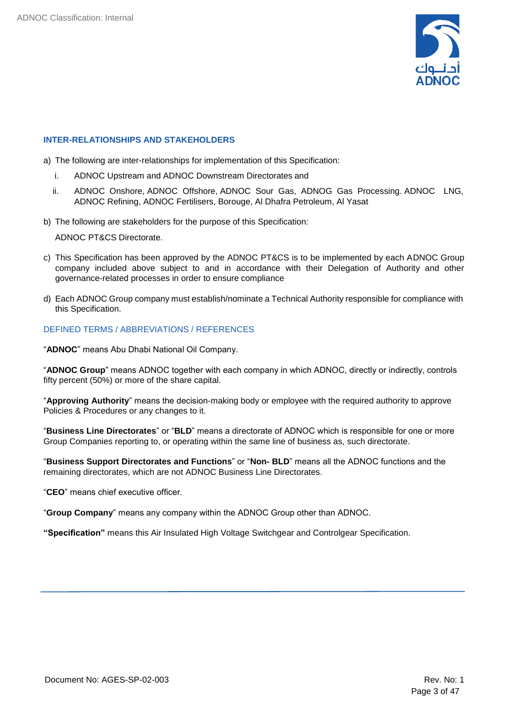

#### <span id="page-2-0"></span>**INTER-RELATIONSHIPS AND STAKEHOLDERS**

- a) The following are inter-relationships for implementation of this Specification:
	- i. ADNOC Upstream and ADNOC Downstream Directorates and
	- ii. ADNOC Onshore, ADNOC Offshore, ADNOC Sour Gas, ADNOG Gas Processing. ADNOC LNG, ADNOC Refining, ADNOC Fertilisers, Borouge, Al Dhafra Petroleum, Al Yasat
- b) The following are stakeholders for the purpose of this Specification:

ADNOC PT&CS Directorate.

- c) This Specification has been approved by the ADNOC PT&CS is to be implemented by each ADNOC Group company included above subject to and in accordance with their Delegation of Authority and other governance-related processes in order to ensure compliance
- d) Each ADNOC Group company must establish/nominate a Technical Authority responsible for compliance with this Specification.

#### DEFINED TERMS / ABBREVIATIONS / REFERENCES

"**ADNOC**" means Abu Dhabi National Oil Company.

"**ADNOC Group**" means ADNOC together with each company in which ADNOC, directly or indirectly, controls fifty percent (50%) or more of the share capital.

"**Approving Authority**" means the decision-making body or employee with the required authority to approve Policies & Procedures or any changes to it.

"**Business Line Directorates**" or "**BLD**" means a directorate of ADNOC which is responsible for one or more Group Companies reporting to, or operating within the same line of business as, such directorate.

"**Business Support Directorates and Functions**" or "**Non- BLD**" means all the ADNOC functions and the remaining directorates, which are not ADNOC Business Line Directorates.

"**CEO**" means chief executive officer.

"**Group Company**" means any company within the ADNOC Group other than ADNOC.

**"Specification"** means this Air Insulated High Voltage Switchgear and Controlgear Specification.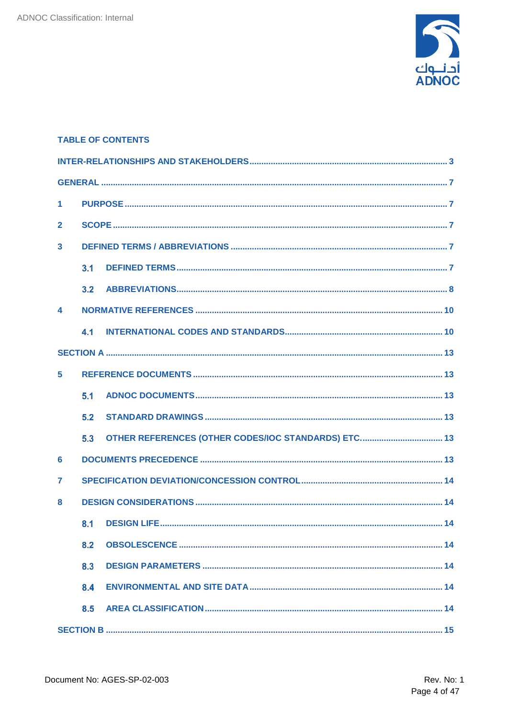

|                  |     | <b>TABLE OF CONTENTS</b> |  |
|------------------|-----|--------------------------|--|
|                  |     |                          |  |
|                  |     |                          |  |
| $\mathbf{1}$     |     |                          |  |
| $\mathbf{2}$     |     |                          |  |
| $\mathbf{3}$     |     |                          |  |
|                  | 3.1 |                          |  |
|                  | 3.2 |                          |  |
| $\blacktriangle$ |     |                          |  |
|                  | 4.1 |                          |  |
|                  |     |                          |  |
| 5 <sup>1</sup>   |     |                          |  |
|                  | 5.1 |                          |  |
|                  | 5.2 |                          |  |
|                  | 5.3 |                          |  |
| 6                |     |                          |  |
| $\overline{7}$   |     |                          |  |
| 8                |     |                          |  |
|                  | 8.1 |                          |  |
|                  | 8.2 |                          |  |
|                  | 8.3 |                          |  |
|                  | 8.4 |                          |  |
|                  | 8.5 |                          |  |
|                  |     |                          |  |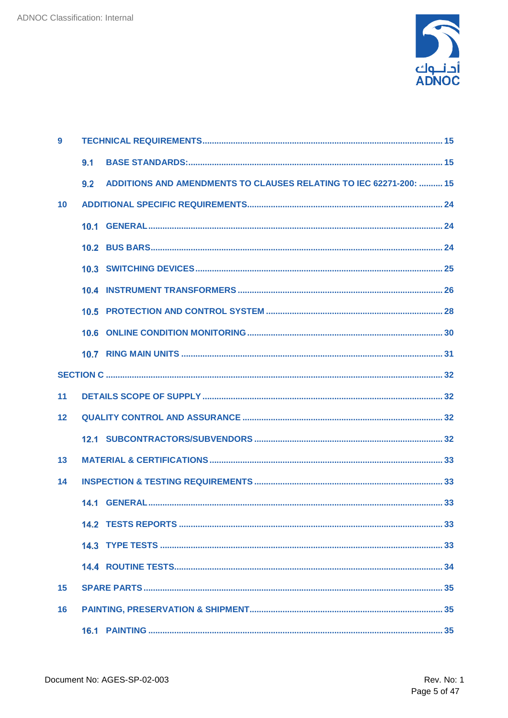

| 9  |                                                                           |
|----|---------------------------------------------------------------------------|
|    | 9.1                                                                       |
|    | ADDITIONS AND AMENDMENTS TO CLAUSES RELATING TO IEC 62271-200:  15<br>9.2 |
| 10 |                                                                           |
|    |                                                                           |
|    |                                                                           |
|    |                                                                           |
|    |                                                                           |
|    |                                                                           |
|    |                                                                           |
|    |                                                                           |
|    |                                                                           |
| 11 |                                                                           |
| 12 |                                                                           |
|    |                                                                           |
| 13 |                                                                           |
| 14 |                                                                           |
|    |                                                                           |
|    |                                                                           |
|    |                                                                           |
|    |                                                                           |
| 15 |                                                                           |
| 16 |                                                                           |
|    |                                                                           |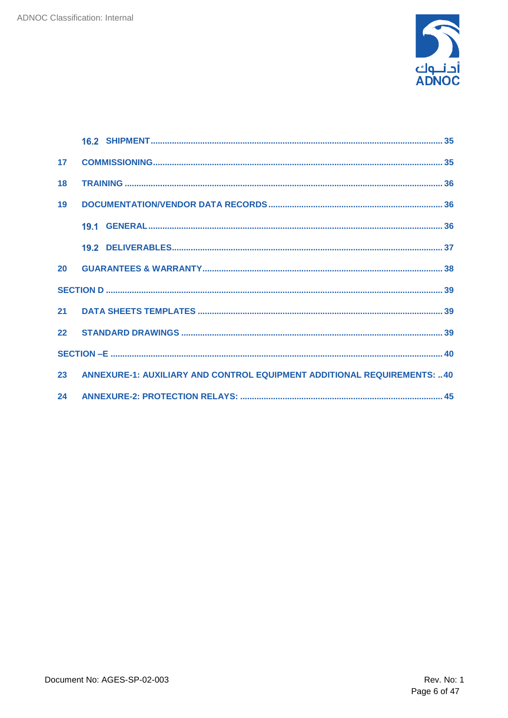

| 17 <sup>17</sup> |                                                                                |  |
|------------------|--------------------------------------------------------------------------------|--|
| 18               |                                                                                |  |
| 19               |                                                                                |  |
|                  |                                                                                |  |
|                  |                                                                                |  |
|                  |                                                                                |  |
|                  |                                                                                |  |
| 21               |                                                                                |  |
|                  |                                                                                |  |
|                  |                                                                                |  |
| 23               | <b>ANNEXURE-1: AUXILIARY AND CONTROL EQUIPMENT ADDITIONAL REQUIREMENTS: 40</b> |  |
|                  |                                                                                |  |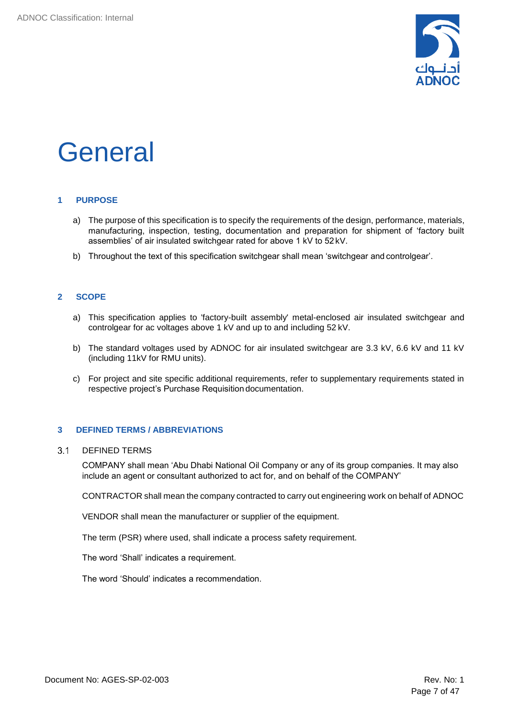

## <span id="page-6-0"></span>**General**

#### <span id="page-6-1"></span>**1 PURPOSE**

- a) The purpose of this specification is to specify the requirements of the design, performance, materials, manufacturing, inspection, testing, documentation and preparation for shipment of 'factory built assemblies' of air insulated switchgear rated for above 1 kV to 52 kV.
- b) Throughout the text of this specification switchgear shall mean 'switchgear and controlgear'.

### <span id="page-6-2"></span>**2 SCOPE**

- a) This specification applies to 'factory-built assembly' metal-enclosed air insulated switchgear and controlgear for ac voltages above 1 kV and up to and including 52 kV.
- b) The standard voltages used by ADNOC for air insulated switchgear are 3.3 kV, 6.6 kV and 11 kV (including 11kV for RMU units).
- c) For project and site specific additional requirements, refer to supplementary requirements stated in respective project's Purchase Requisition documentation.

#### <span id="page-6-3"></span>**3 DEFINED TERMS / ABBREVIATIONS**

#### $3.1$ DEFINED TERMS

<span id="page-6-4"></span>COMPANY shall mean 'Abu Dhabi National Oil Company or any of its group companies. It may also include an agent or consultant authorized to act for, and on behalf of the COMPANY'

CONTRACTOR shall mean the company contracted to carry out engineering work on behalf of ADNOC

VENDOR shall mean the manufacturer or supplier of the equipment.

The term (PSR) where used, shall indicate a process safety requirement.

The word 'Shall' indicates a requirement.

The word 'Should' indicates a recommendation.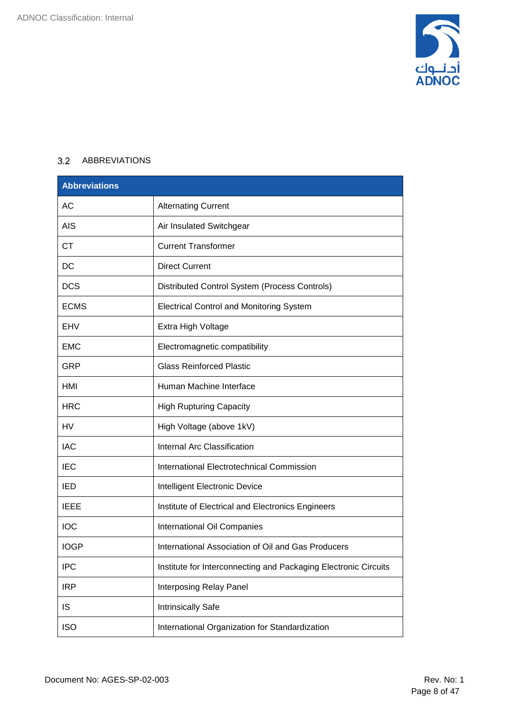

### <span id="page-7-0"></span>3.2 ABBREVIATIONS

| <b>Abbreviations</b> |                                                                 |
|----------------------|-----------------------------------------------------------------|
| <b>AC</b>            | <b>Alternating Current</b>                                      |
| <b>AIS</b>           | Air Insulated Switchgear                                        |
| <b>CT</b>            | <b>Current Transformer</b>                                      |
| <b>DC</b>            | <b>Direct Current</b>                                           |
| <b>DCS</b>           | Distributed Control System (Process Controls)                   |
| <b>ECMS</b>          | <b>Electrical Control and Monitoring System</b>                 |
| EHV                  | Extra High Voltage                                              |
| <b>EMC</b>           | Electromagnetic compatibility                                   |
| GRP                  | <b>Glass Reinforced Plastic</b>                                 |
| HMI                  | Human Machine Interface                                         |
| <b>HRC</b>           | <b>High Rupturing Capacity</b>                                  |
| <b>HV</b>            | High Voltage (above 1kV)                                        |
| <b>IAC</b>           | <b>Internal Arc Classification</b>                              |
| <b>IEC</b>           | International Electrotechnical Commission                       |
| IED                  | Intelligent Electronic Device                                   |
| <b>IEEE</b>          | Institute of Electrical and Electronics Engineers               |
| <b>IOC</b>           | International Oil Companies                                     |
| <b>IOGP</b>          | International Association of Oil and Gas Producers              |
| <b>IPC</b>           | Institute for Interconnecting and Packaging Electronic Circuits |
| <b>IRP</b>           | Interposing Relay Panel                                         |
| IS                   | Intrinsically Safe                                              |
| <b>ISO</b>           | International Organization for Standardization                  |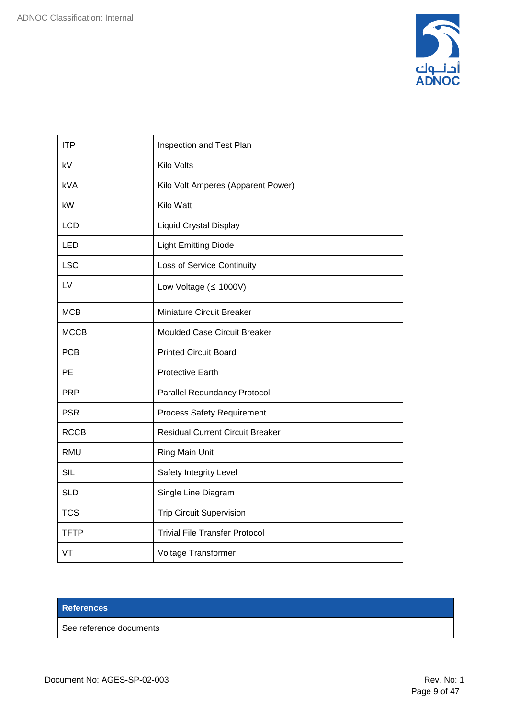

| <b>ITP</b>  | Inspection and Test Plan                |
|-------------|-----------------------------------------|
| kV          | <b>Kilo Volts</b>                       |
| kVA         | Kilo Volt Amperes (Apparent Power)      |
| kW          | Kilo Watt                               |
| <b>LCD</b>  | <b>Liquid Crystal Display</b>           |
| LED         | <b>Light Emitting Diode</b>             |
| <b>LSC</b>  | Loss of Service Continuity              |
| LV          | Low Voltage ( $\leq$ 1000V)             |
| <b>MCB</b>  | Miniature Circuit Breaker               |
| <b>MCCB</b> | <b>Moulded Case Circuit Breaker</b>     |
| <b>PCB</b>  | <b>Printed Circuit Board</b>            |
| PE          | <b>Protective Earth</b>                 |
| <b>PRP</b>  | <b>Parallel Redundancy Protocol</b>     |
| <b>PSR</b>  | <b>Process Safety Requirement</b>       |
| <b>RCCB</b> | <b>Residual Current Circuit Breaker</b> |
| <b>RMU</b>  | Ring Main Unit                          |
| <b>SIL</b>  | Safety Integrity Level                  |
| <b>SLD</b>  | Single Line Diagram                     |
| <b>TCS</b>  | <b>Trip Circuit Supervision</b>         |
| <b>TFTP</b> | <b>Trivial File Transfer Protocol</b>   |
| VT          | Voltage Transformer                     |

#### **References**

See reference documents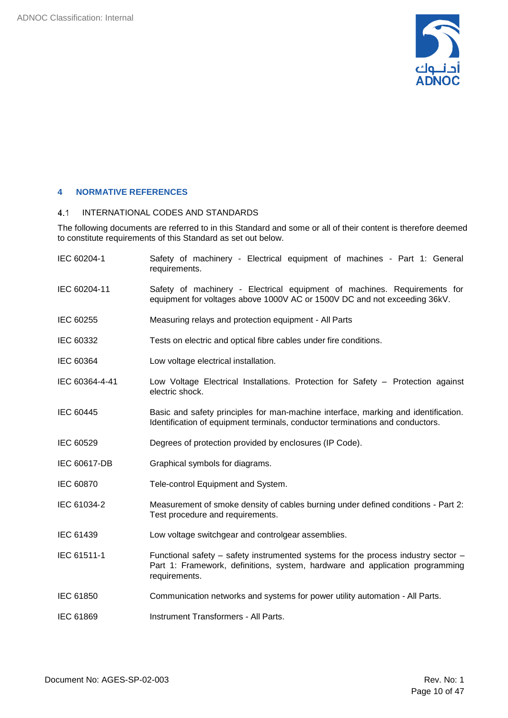

### <span id="page-9-0"></span>**4 NORMATIVE REFERENCES**

#### <span id="page-9-1"></span>INTERNATIONAL CODES AND STANDARDS  $4.1$

The following documents are referred to in this Standard and some or all of their content is therefore deemed to constitute requirements of this Standard as set out below.

| IEC 60204-1    | Safety of machinery - Electrical equipment of machines - Part 1: General<br>requirements.                                                                                          |
|----------------|------------------------------------------------------------------------------------------------------------------------------------------------------------------------------------|
| IEC 60204-11   | Safety of machinery - Electrical equipment of machines. Requirements for<br>equipment for voltages above 1000V AC or 1500V DC and not exceeding 36kV.                              |
| IEC 60255      | Measuring relays and protection equipment - All Parts                                                                                                                              |
| IEC 60332      | Tests on electric and optical fibre cables under fire conditions.                                                                                                                  |
| IEC 60364      | Low voltage electrical installation.                                                                                                                                               |
| IEC 60364-4-41 | Low Voltage Electrical Installations. Protection for Safety - Protection against<br>electric shock.                                                                                |
| IEC 60445      | Basic and safety principles for man-machine interface, marking and identification.<br>Identification of equipment terminals, conductor terminations and conductors.                |
| IEC 60529      | Degrees of protection provided by enclosures (IP Code).                                                                                                                            |
| IEC 60617-DB   | Graphical symbols for diagrams.                                                                                                                                                    |
| IEC 60870      | Tele-control Equipment and System.                                                                                                                                                 |
| IEC 61034-2    | Measurement of smoke density of cables burning under defined conditions - Part 2:<br>Test procedure and requirements.                                                              |
| IEC 61439      | Low voltage switchgear and controlgear assemblies.                                                                                                                                 |
| IEC 61511-1    | Functional safety – safety instrumented systems for the process industry sector –<br>Part 1: Framework, definitions, system, hardware and application programming<br>requirements. |
| IEC 61850      | Communication networks and systems for power utility automation - All Parts.                                                                                                       |
| IEC 61869      | Instrument Transformers - All Parts.                                                                                                                                               |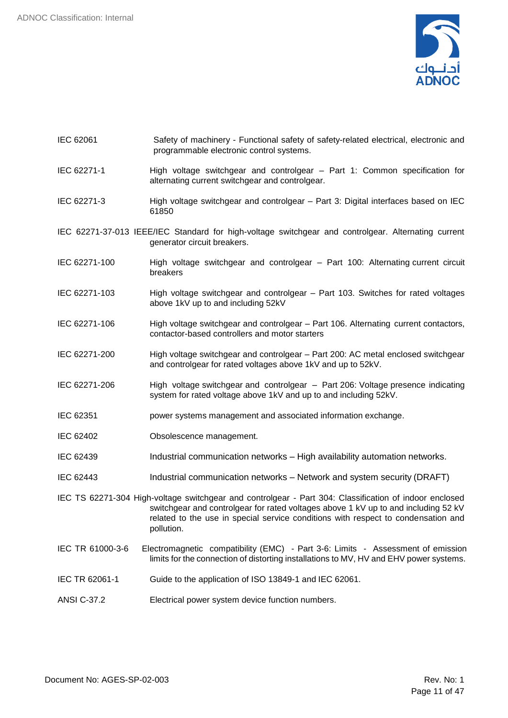

- IEC 62061 Safety of machinery Functional safety of safety-related electrical, electronic and programmable electronic control systems.
- IEC 62271-1 High voltage switchgear and controlgear Part 1: Common specification for alternating current switchgear and controlgear.
- IEC 62271-3 High voltage switchgear and controlgear Part 3: Digital interfaces based on IEC 61850
- IEC 62271-37-013 IEEE/IEC Standard for high-voltage switchgear and controlgear. Alternating current generator circuit breakers.
- IEC 62271-100 High voltage switchgear and controlgear Part 100: Alternating current circuit breakers
- IEC 62271-103 High voltage switchgear and controlgear Part 103. Switches for rated voltages above 1kV up to and including 52kV
- IEC 62271-106 High voltage switchgear and controlgear Part 106. Alternating current contactors, contactor-based controllers and motor starters
- IEC 62271-200 High voltage switchgear and controlgear Part 200: AC metal enclosed switchgear and controlgear for rated voltages above 1kV and up to 52kV.
- IEC 62271-206 High voltage switchgear and controlgear Part 206: Voltage presence indicating system for rated voltage above 1kV and up to and including 52kV.
- IEC 62351 power systems management and associated information exchange.
- IEC 62402 Obsolescence management.
- IEC 62439 Industrial communication networks High availability automation networks.
- IEC 62443 Industrial communication networks Network and system security (DRAFT)

IEC TS 62271-304 High-voltage switchgear and controlgear - Part 304: Classification of indoor enclosed switchgear and controlgear for rated voltages above 1 kV up to and including 52 kV related to the use in special service conditions with respect to condensation and pollution.

- IEC TR 61000-3-6 Electromagnetic compatibility (EMC) Part 3-6: Limits Assessment of emission limits for the connection of distorting installations to MV, HV and EHV power systems.
- IEC TR 62061-1 Guide to the application of ISO 13849-1 and IEC 62061.
- ANSI C-37.2 Electrical power system device function numbers.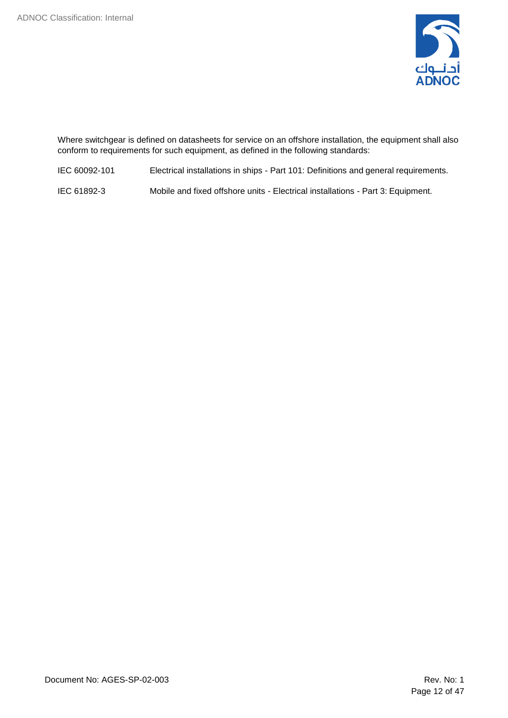

Where switchgear is defined on datasheets for service on an offshore installation, the equipment shall also conform to requirements for such equipment, as defined in the following standards:

IEC 60092-101 Electrical installations in ships - Part 101: Definitions and general requirements.

IEC 61892-3 Mobile and fixed offshore units - Electrical installations - Part 3: Equipment.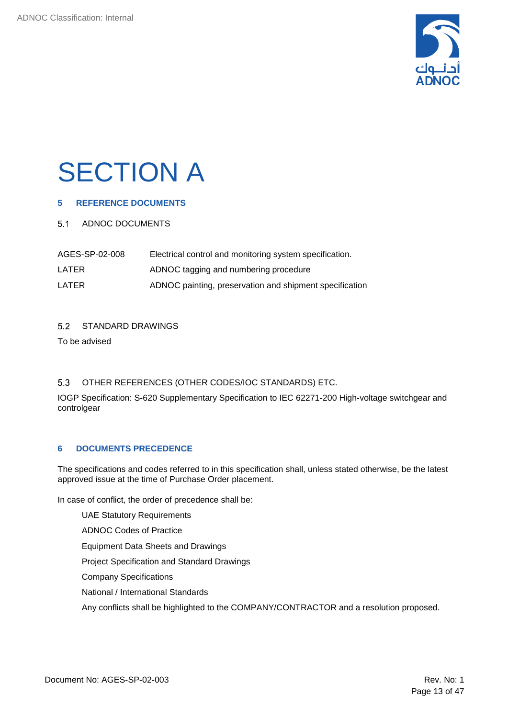

## <span id="page-12-0"></span>**SECTION A**

### <span id="page-12-1"></span>**5 REFERENCE DOCUMENTS**

#### <span id="page-12-2"></span>5.1 ADNOC DOCUMENTS

| AGES-SP-02-008 | Electrical control and monitoring system specification. |
|----------------|---------------------------------------------------------|
| LATER          | ADNOC tagging and numbering procedure                   |
| LATER          | ADNOC painting, preservation and shipment specification |

#### <span id="page-12-3"></span> $5.2$ STANDARD DRAWINGS

To be advised

#### <span id="page-12-4"></span> $5.3$ OTHER REFERENCES (OTHER CODES/IOC STANDARDS) ETC.

IOGP Specification: S-620 Supplementary Specification to IEC 62271-200 High-voltage switchgear and controlgear

#### <span id="page-12-5"></span>**6 DOCUMENTS PRECEDENCE**

The specifications and codes referred to in this specification shall, unless stated otherwise, be the latest approved issue at the time of Purchase Order placement.

In case of conflict, the order of precedence shall be:

UAE Statutory Requirements

ADNOC Codes of Practice

Equipment Data Sheets and Drawings

Project Specification and Standard Drawings

Company Specifications

National / International Standards

Any conflicts shall be highlighted to the COMPANY/CONTRACTOR and a resolution proposed.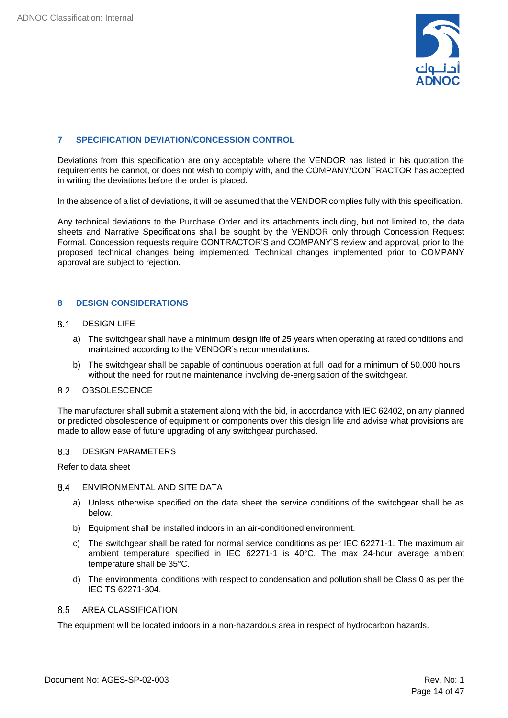

#### <span id="page-13-0"></span>**7 SPECIFICATION DEVIATION/CONCESSION CONTROL**

Deviations from this specification are only acceptable where the VENDOR has listed in his quotation the requirements he cannot, or does not wish to comply with, and the COMPANY/CONTRACTOR has accepted in writing the deviations before the order is placed.

In the absence of a list of deviations, it will be assumed that the VENDOR complies fully with this specification.

Any technical deviations to the Purchase Order and its attachments including, but not limited to, the data sheets and Narrative Specifications shall be sought by the VENDOR only through Concession Request Format. Concession requests require CONTRACTOR'S and COMPANY'S review and approval, prior to the proposed technical changes being implemented. Technical changes implemented prior to COMPANY approval are subject to rejection.

### <span id="page-13-1"></span>**8 DESIGN CONSIDERATIONS**

#### 8.1 DESIGN LIFE

- <span id="page-13-2"></span>a) The switchgear shall have a minimum design life of 25 years when operating at rated conditions and maintained according to the VENDOR's recommendations.
- <span id="page-13-3"></span>b) The switchgear shall be capable of continuous operation at full load for a minimum of 50,000 hours without the need for routine maintenance involving de-energisation of the switchgear.

#### 8.2 **OBSOLESCENCE**

The manufacturer shall submit a statement along with the bid, in accordance with IEC 62402, on any planned or predicted obsolescence of equipment or components over this design life and advise what provisions are made to allow ease of future upgrading of any switchgear purchased.

#### <span id="page-13-4"></span>8.3 DESIGN PARAMETERS

Refer to data sheet

#### ENVIRONMENTAL AND SITE DATA

- <span id="page-13-5"></span>a) Unless otherwise specified on the data sheet the service conditions of the switchgear shall be as below.
- b) Equipment shall be installed indoors in an air-conditioned environment.
- c) The switchgear shall be rated for normal service conditions as per IEC 62271-1. The maximum air ambient temperature specified in IEC 62271-1 is 40°C. The max 24-hour average ambient temperature shall be 35°C.
- d) The environmental conditions with respect to condensation and pollution shall be Class 0 as per the IEC TS 62271-304.

#### <span id="page-13-6"></span>8.5 AREA CLASSIFICATION

The equipment will be located indoors in a non-hazardous area in respect of hydrocarbon hazards.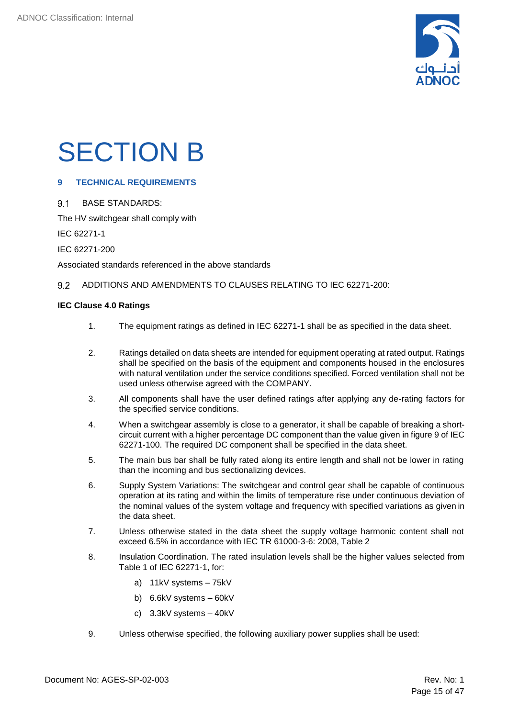

## <span id="page-14-0"></span>SECTION B

### <span id="page-14-1"></span>**9 TECHNICAL REQUIREMENTS**

#### <span id="page-14-2"></span> $9.1$ BASE STANDARDS:

The HV switchgear shall comply with

IEC 62271-1

IEC 62271-200

Associated standards referenced in the above standards

#### <span id="page-14-3"></span>9.2 ADDITIONS AND AMENDMENTS TO CLAUSES RELATING TO IEC 62271-200:

#### **IEC Clause 4.0 Ratings**

- 1. The equipment ratings as defined in IEC 62271-1 shall be as specified in the data sheet.
- 2. Ratings detailed on data sheets are intended for equipment operating at rated output. Ratings shall be specified on the basis of the equipment and components housed in the enclosures with natural ventilation under the service conditions specified. Forced ventilation shall not be used unless otherwise agreed with the COMPANY.
- 3. All components shall have the user defined ratings after applying any de-rating factors for the specified service conditions.
- 4. When a switchgear assembly is close to a generator, it shall be capable of breaking a shortcircuit current with a higher percentage DC component than the value given in figure 9 of IEC 62271-100. The required DC component shall be specified in the data sheet.
- 5. The main bus bar shall be fully rated along its entire length and shall not be lower in rating than the incoming and bus sectionalizing devices.
- 6. Supply System Variations: The switchgear and control gear shall be capable of continuous operation at its rating and within the limits of temperature rise under continuous deviation of the nominal values of the system voltage and frequency with specified variations as given in the data sheet.
- 7. Unless otherwise stated in the data sheet the supply voltage harmonic content shall not exceed 6.5% in accordance with IEC TR 61000-3-6: 2008, Table 2
- 8. Insulation Coordination. The rated insulation levels shall be the higher values selected from Table 1 of IEC 62271-1, for:
	- a) 11kV systems 75kV
	- b) 6.6kV systems 60kV
	- c) 3.3kV systems 40kV
- 9. Unless otherwise specified, the following auxiliary power supplies shall be used: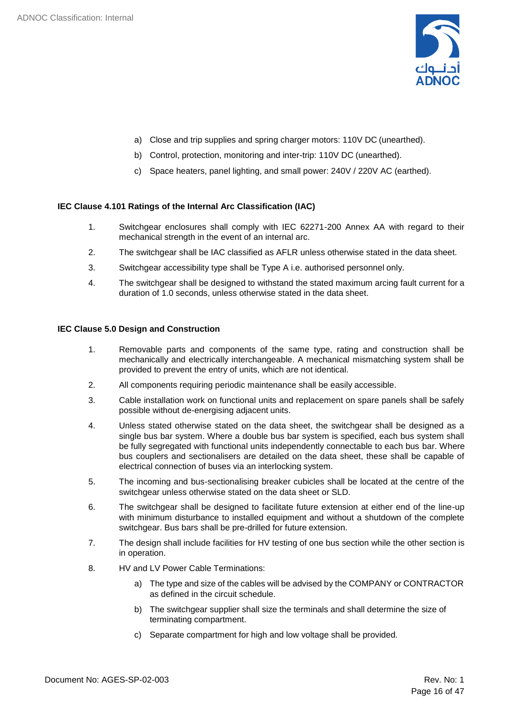

- a) Close and trip supplies and spring charger motors: 110V DC (unearthed).
- b) Control, protection, monitoring and inter-trip: 110V DC (unearthed).
- c) Space heaters, panel lighting, and small power: 240V / 220V AC (earthed).

#### **IEC Clause 4.101 Ratings of the Internal Arc Classification (IAC)**

- 1. Switchgear enclosures shall comply with IEC 62271-200 Annex AA with regard to their mechanical strength in the event of an internal arc.
- 2. The switchgear shall be IAC classified as AFLR unless otherwise stated in the data sheet.
- 3. Switchgear accessibility type shall be Type A i.e. authorised personnel only.
- 4. The switchgear shall be designed to withstand the stated maximum arcing fault current for a duration of 1.0 seconds, unless otherwise stated in the data sheet.

#### **IEC Clause 5.0 Design and Construction**

- 1. Removable parts and components of the same type, rating and construction shall be mechanically and electrically interchangeable. A mechanical mismatching system shall be provided to prevent the entry of units, which are not identical.
- 2. All components requiring periodic maintenance shall be easily accessible.
- 3. Cable installation work on functional units and replacement on spare panels shall be safely possible without de-energising adjacent units.
- 4. Unless stated otherwise stated on the data sheet, the switchgear shall be designed as a single bus bar system. Where a double bus bar system is specified, each bus system shall be fully segregated with functional units independently connectable to each bus bar. Where bus couplers and sectionalisers are detailed on the data sheet, these shall be capable of electrical connection of buses via an interlocking system.
- 5. The incoming and bus-sectionalising breaker cubicles shall be located at the centre of the switchgear unless otherwise stated on the data sheet or SLD.
- 6. The switchgear shall be designed to facilitate future extension at either end of the line-up with minimum disturbance to installed equipment and without a shutdown of the complete switchgear. Bus bars shall be pre-drilled for future extension.
- 7. The design shall include facilities for HV testing of one bus section while the other section is in operation.
- 8. HV and LV Power Cable Terminations:
	- a) The type and size of the cables will be advised by the COMPANY or CONTRACTOR as defined in the circuit schedule.
	- b) The switchgear supplier shall size the terminals and shall determine the size of terminating compartment.
	- c) Separate compartment for high and low voltage shall be provided.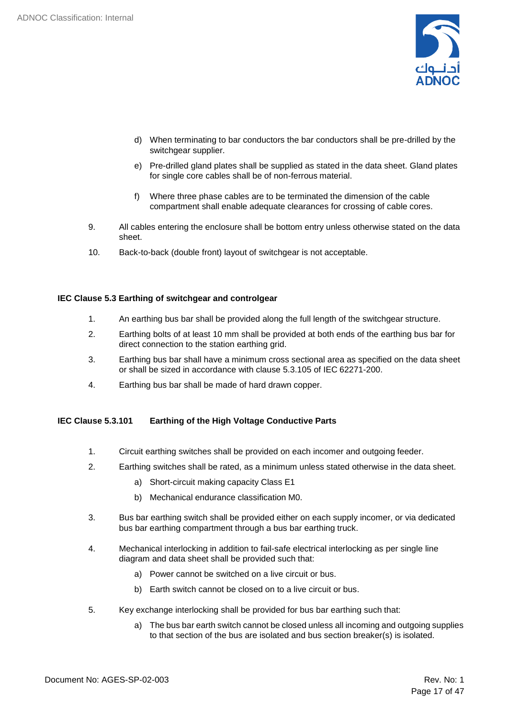

- d) When terminating to bar conductors the bar conductors shall be pre-drilled by the switchgear supplier.
- e) Pre-drilled gland plates shall be supplied as stated in the data sheet. Gland plates for single core cables shall be of non-ferrous material.
- f) Where three phase cables are to be terminated the dimension of the cable compartment shall enable adequate clearances for crossing of cable cores.
- 9. All cables entering the enclosure shall be bottom entry unless otherwise stated on the data sheet.
- 10. Back-to-back (double front) layout of switchgear is not acceptable.

#### **IEC Clause 5.3 Earthing of switchgear and controlgear**

- 1. An earthing bus bar shall be provided along the full length of the switchgear structure.
- 2. Earthing bolts of at least 10 mm shall be provided at both ends of the earthing bus bar for direct connection to the station earthing grid.
- 3. Earthing bus bar shall have a minimum cross sectional area as specified on the data sheet or shall be sized in accordance with clause 5.3.105 of IEC 62271-200.
- 4. Earthing bus bar shall be made of hard drawn copper.

#### **IEC Clause 5.3.101 Earthing of the High Voltage Conductive Parts**

- 1. Circuit earthing switches shall be provided on each incomer and outgoing feeder.
- 2. Earthing switches shall be rated, as a minimum unless stated otherwise in the data sheet.
	- a) Short-circuit making capacity Class E1
	- b) Mechanical endurance classification M0.
- 3. Bus bar earthing switch shall be provided either on each supply incomer, or via dedicated bus bar earthing compartment through a bus bar earthing truck.
- 4. Mechanical interlocking in addition to fail-safe electrical interlocking as per single line diagram and data sheet shall be provided such that:
	- a) Power cannot be switched on a live circuit or bus.
	- b) Earth switch cannot be closed on to a live circuit or bus.
- 5. Key exchange interlocking shall be provided for bus bar earthing such that:
	- a) The bus bar earth switch cannot be closed unless all incoming and outgoing supplies to that section of the bus are isolated and bus section breaker(s) is isolated.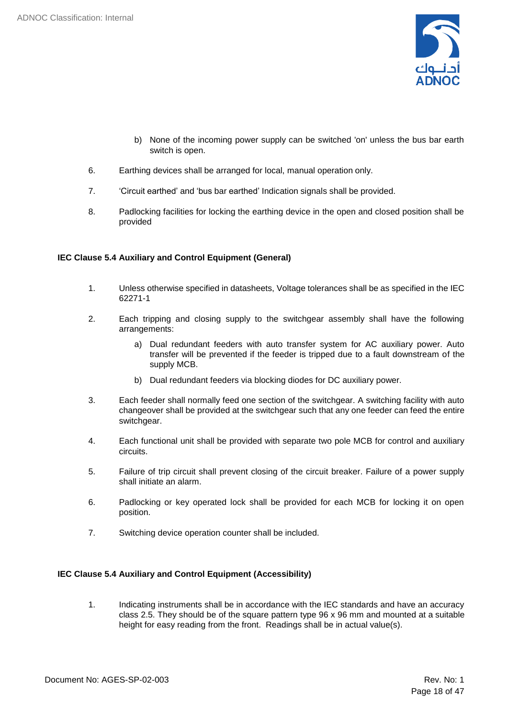

- b) None of the incoming power supply can be switched 'on' unless the bus bar earth switch is open.
- 6. Earthing devices shall be arranged for local, manual operation only.
- 7. 'Circuit earthed' and 'bus bar earthed' Indication signals shall be provided.
- 8. Padlocking facilities for locking the earthing device in the open and closed position shall be provided

#### **IEC Clause 5.4 Auxiliary and Control Equipment (General)**

- 1. Unless otherwise specified in datasheets, Voltage tolerances shall be as specified in the IEC 62271-1
- 2. Each tripping and closing supply to the switchgear assembly shall have the following arrangements:
	- a) Dual redundant feeders with auto transfer system for AC auxiliary power. Auto transfer will be prevented if the feeder is tripped due to a fault downstream of the supply MCB.
	- b) Dual redundant feeders via blocking diodes for DC auxiliary power.
- 3. Each feeder shall normally feed one section of the switchgear. A switching facility with auto changeover shall be provided at the switchgear such that any one feeder can feed the entire switchgear.
- 4. Each functional unit shall be provided with separate two pole MCB for control and auxiliary circuits.
- 5. Failure of trip circuit shall prevent closing of the circuit breaker. Failure of a power supply shall initiate an alarm.
- 6. Padlocking or key operated lock shall be provided for each MCB for locking it on open position.
- 7. Switching device operation counter shall be included.

#### **IEC Clause 5.4 Auxiliary and Control Equipment (Accessibility)**

1. Indicating instruments shall be in accordance with the IEC standards and have an accuracy class 2.5. They should be of the square pattern type 96 x 96 mm and mounted at a suitable height for easy reading from the front. Readings shall be in actual value(s).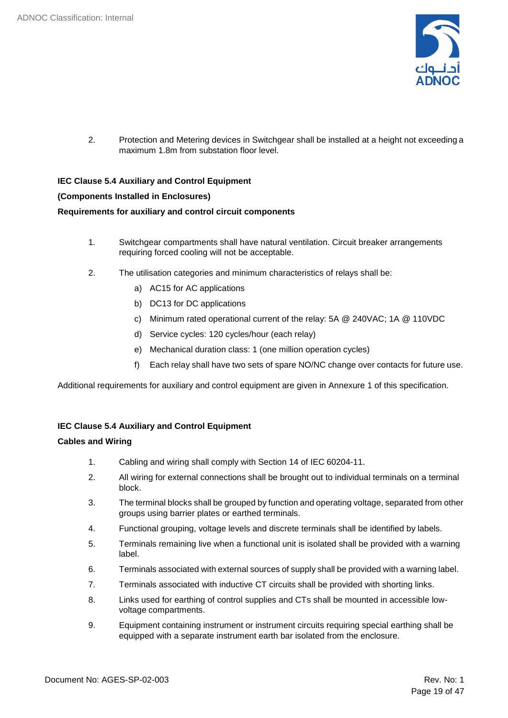

2. Protection and Metering devices in Switchgear shall be installed at a height not exceeding a maximum 1.8m from substation floor level.

**IEC Clause 5.4 Auxiliary and Control Equipment (Components Installed in Enclosures) Requirements for auxiliary and control circuit components**

- 1. Switchgear compartments shall have natural ventilation. Circuit breaker arrangements requiring forced cooling will not be acceptable.
- 2. The utilisation categories and minimum characteristics of relays shall be:
	- a) AC15 for AC applications
	- b) DC13 for DC applications
	- c) Minimum rated operational current of the relay: 5A @ 240VAC; 1A @ 110VDC
	- d) Service cycles: 120 cycles/hour (each relay)
	- e) Mechanical duration class: 1 (one million operation cycles)
	- f) Each relay shall have two sets of spare NO/NC change over contacts for future use.

Additional requirements for auxiliary and control equipment are given in Annexure 1 of this specification.

### **IEC Clause 5.4 Auxiliary and Control Equipment**

#### **Cables and Wiring**

- 1. Cabling and wiring shall comply with Section 14 of IEC 60204-11.
- 2. All wiring for external connections shall be brought out to individual terminals on a terminal block.
- 3. The terminal blocks shall be grouped by function and operating voltage, separated from other groups using barrier plates or earthed terminals.
- 4. Functional grouping, voltage levels and discrete terminals shall be identified by labels.
- 5. Terminals remaining live when a functional unit is isolated shall be provided with a warning label.
- 6. Terminals associated with external sources of supply shall be provided with a warning label.
- 7. Terminals associated with inductive CT circuits shall be provided with shorting links.
- 8. Links used for earthing of control supplies and CTs shall be mounted in accessible lowvoltage compartments.
- 9. Equipment containing instrument or instrument circuits requiring special earthing shall be equipped with a separate instrument earth bar isolated from the enclosure.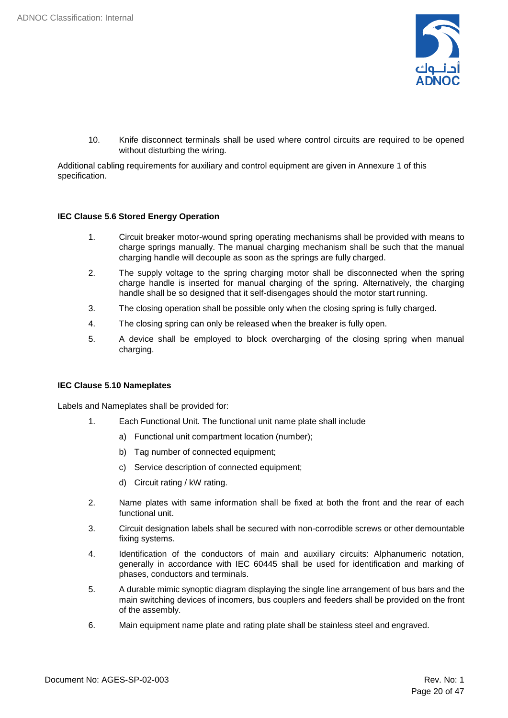

10. Knife disconnect terminals shall be used where control circuits are required to be opened without disturbing the wiring.

Additional cabling requirements for auxiliary and control equipment are given in Annexure 1 of this specification.

#### **IEC Clause 5.6 Stored Energy Operation**

- 1. Circuit breaker motor-wound spring operating mechanisms shall be provided with means to charge springs manually. The manual charging mechanism shall be such that the manual charging handle will decouple as soon as the springs are fully charged.
- 2. The supply voltage to the spring charging motor shall be disconnected when the spring charge handle is inserted for manual charging of the spring. Alternatively, the charging handle shall be so designed that it self-disengages should the motor start running.
- 3. The closing operation shall be possible only when the closing spring is fully charged.
- 4. The closing spring can only be released when the breaker is fully open.
- 5. A device shall be employed to block overcharging of the closing spring when manual charging.

#### **IEC Clause 5.10 Nameplates**

Labels and Nameplates shall be provided for:

- 1. Each Functional Unit. The functional unit name plate shall include
	- a) Functional unit compartment location (number);
	- b) Tag number of connected equipment;
	- c) Service description of connected equipment;
	- d) Circuit rating / kW rating.
- 2. Name plates with same information shall be fixed at both the front and the rear of each functional unit.
- 3. Circuit designation labels shall be secured with non-corrodible screws or other demountable fixing systems.
- 4. Identification of the conductors of main and auxiliary circuits: Alphanumeric notation, generally in accordance with IEC 60445 shall be used for identification and marking of phases, conductors and terminals.
- 5. A durable mimic synoptic diagram displaying the single line arrangement of bus bars and the main switching devices of incomers, bus couplers and feeders shall be provided on the front of the assembly.
- 6. Main equipment name plate and rating plate shall be stainless steel and engraved.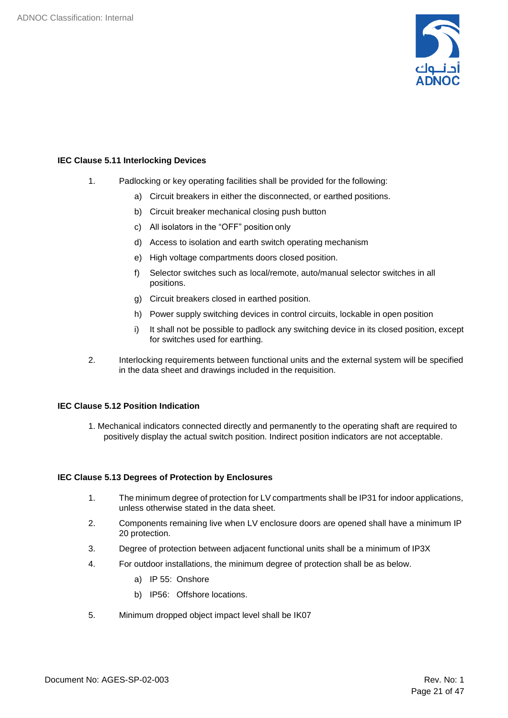

#### **IEC Clause 5.11 Interlocking Devices**

- 1. Padlocking or key operating facilities shall be provided for the following:
	- a) Circuit breakers in either the disconnected, or earthed positions.
	- b) Circuit breaker mechanical closing push button
	- c) All isolators in the "OFF" position only
	- d) Access to isolation and earth switch operating mechanism
	- e) High voltage compartments doors closed position.
	- f) Selector switches such as local/remote, auto/manual selector switches in all positions.
	- g) Circuit breakers closed in earthed position.
	- h) Power supply switching devices in control circuits, lockable in open position
	- i) It shall not be possible to padlock any switching device in its closed position, except for switches used for earthing.
- 2. Interlocking requirements between functional units and the external system will be specified in the data sheet and drawings included in the requisition.

#### **IEC Clause 5.12 Position Indication**

1. Mechanical indicators connected directly and permanently to the operating shaft are required to positively display the actual switch position. Indirect position indicators are not acceptable.

#### **IEC Clause 5.13 Degrees of Protection by Enclosures**

- 1. The minimum degree of protection for LV compartments shall be IP31 for indoor applications, unless otherwise stated in the data sheet.
- 2. Components remaining live when LV enclosure doors are opened shall have a minimum IP 20 protection.
- 3. Degree of protection between adjacent functional units shall be a minimum of IP3X
- 4. For outdoor installations, the minimum degree of protection shall be as below.
	- a) IP 55: Onshore
	- b) IP56: Offshore locations.
- 5. Minimum dropped object impact level shall be IK07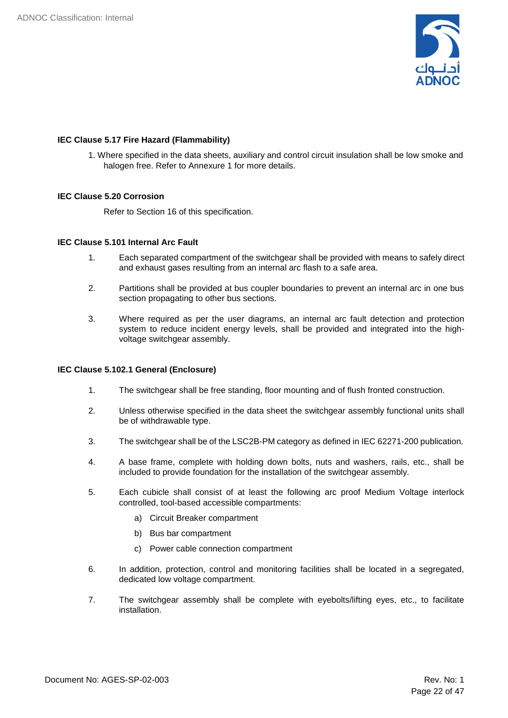

#### **IEC Clause 5.17 Fire Hazard (Flammability)**

1. Where specified in the data sheets, auxiliary and control circuit insulation shall be low smoke and halogen free. Refer to Annexure 1 for more details.

#### **IEC Clause 5.20 Corrosion**

Refer to Section 16 of this specification.

#### **IEC Clause 5.101 Internal Arc Fault**

- 1. Each separated compartment of the switchgear shall be provided with means to safely direct and exhaust gases resulting from an internal arc flash to a safe area.
- 2. Partitions shall be provided at bus coupler boundaries to prevent an internal arc in one bus section propagating to other bus sections.
- 3. Where required as per the user diagrams, an internal arc fault detection and protection system to reduce incident energy levels, shall be provided and integrated into the highvoltage switchgear assembly.

#### **IEC Clause 5.102.1 General (Enclosure)**

- 1. The switchgear shall be free standing, floor mounting and of flush fronted construction.
- 2. Unless otherwise specified in the data sheet the switchgear assembly functional units shall be of withdrawable type.
- 3. The switchgear shall be of the LSC2B-PM category as defined in IEC 62271-200 publication.
- 4. A base frame, complete with holding down bolts, nuts and washers, rails, etc., shall be included to provide foundation for the installation of the switchgear assembly.
- 5. Each cubicle shall consist of at least the following arc proof Medium Voltage interlock controlled, tool-based accessible compartments:
	- a) Circuit Breaker compartment
	- b) Bus bar compartment
	- c) Power cable connection compartment
- 6. In addition, protection, control and monitoring facilities shall be located in a segregated, dedicated low voltage compartment.
- 7. The switchgear assembly shall be complete with eyebolts/lifting eyes, etc., to facilitate installation.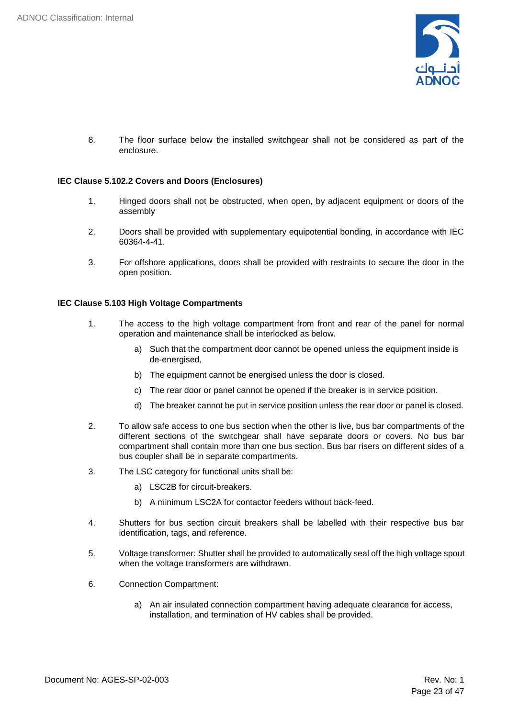

8. The floor surface below the installed switchgear shall not be considered as part of the enclosure.

#### **IEC Clause 5.102.2 Covers and Doors (Enclosures)**

- 1. Hinged doors shall not be obstructed, when open, by adjacent equipment or doors of the assembly
- 2. Doors shall be provided with supplementary equipotential bonding, in accordance with IEC 60364-4-41.
- 3. For offshore applications, doors shall be provided with restraints to secure the door in the open position.

#### **IEC Clause 5.103 High Voltage Compartments**

- 1. The access to the high voltage compartment from front and rear of the panel for normal operation and maintenance shall be interlocked as below.
	- a) Such that the compartment door cannot be opened unless the equipment inside is de-energised,
	- b) The equipment cannot be energised unless the door is closed.
	- c) The rear door or panel cannot be opened if the breaker is in service position.
	- d) The breaker cannot be put in service position unless the rear door or panel is closed.
- 2. To allow safe access to one bus section when the other is live, bus bar compartments of the different sections of the switchgear shall have separate doors or covers. No bus bar compartment shall contain more than one bus section. Bus bar risers on different sides of a bus coupler shall be in separate compartments.
- 3. The LSC category for functional units shall be:
	- a) LSC2B for circuit-breakers.
	- b) A minimum LSC2A for contactor feeders without back-feed.
- 4. Shutters for bus section circuit breakers shall be labelled with their respective bus bar identification, tags, and reference.
- 5. Voltage transformer: Shutter shall be provided to automatically seal off the high voltage spout when the voltage transformers are withdrawn.
- 6. Connection Compartment:
	- a) An air insulated connection compartment having adequate clearance for access, installation, and termination of HV cables shall be provided.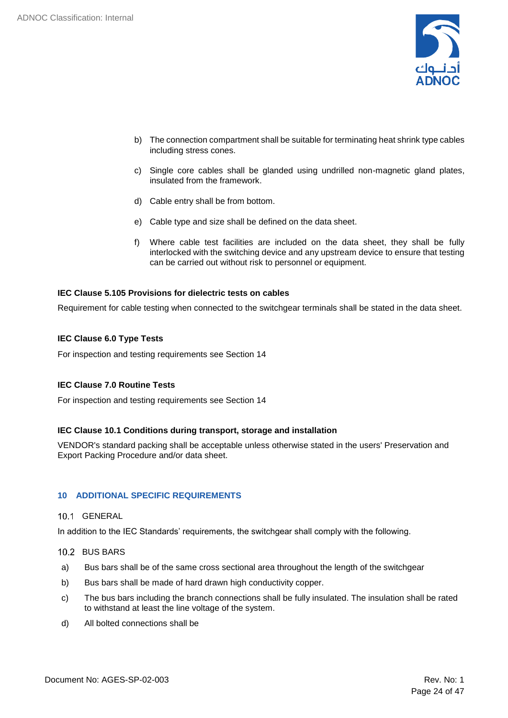

- b) The connection compartment shall be suitable for terminating heat shrink type cables including stress cones.
- c) Single core cables shall be glanded using undrilled non-magnetic gland plates, insulated from the framework.
- d) Cable entry shall be from bottom.
- e) Cable type and size shall be defined on the data sheet.
- f) Where cable test facilities are included on the data sheet, they shall be fully interlocked with the switching device and any upstream device to ensure that testing can be carried out without risk to personnel or equipment.

#### **IEC Clause 5.105 Provisions for dielectric tests on cables**

Requirement for cable testing when connected to the switchgear terminals shall be stated in the data sheet.

#### **IEC Clause 6.0 Type Tests**

For inspection and testing requirements see Section 14

#### **IEC Clause 7.0 Routine Tests**

For inspection and testing requirements see Section 14

#### **IEC Clause 10.1 Conditions during transport, storage and installation**

VENDOR's standard packing shall be acceptable unless otherwise stated in the users' Preservation and Export Packing Procedure and/or data sheet.

#### <span id="page-23-0"></span>**10 ADDITIONAL SPECIFIC REQUIREMENTS**

#### <span id="page-23-1"></span>10.1 GENERAL

In addition to the IEC Standards' requirements, the switchgear shall comply with the following.

#### <span id="page-23-2"></span>10.2 BUS BARS

- a) Bus bars shall be of the same cross sectional area throughout the length of the switchgear
- b) Bus bars shall be made of hard drawn high conductivity copper.
- c) The bus bars including the branch connections shall be fully insulated. The insulation shall be rated to withstand at least the line voltage of the system.
- d) All bolted connections shall be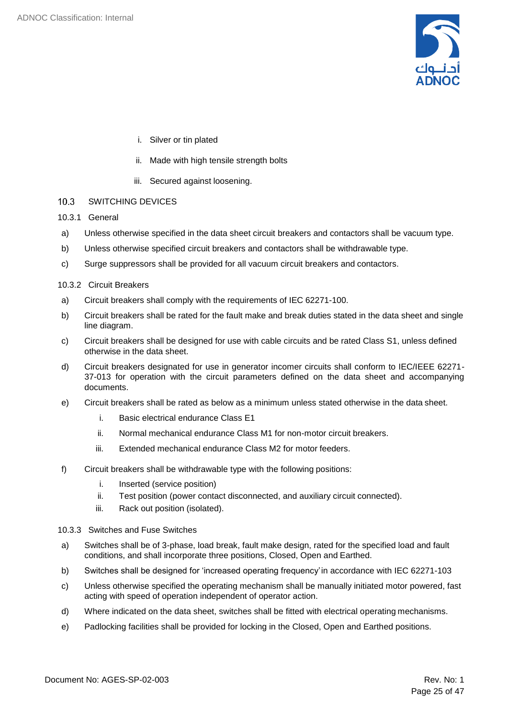

- i. Silver or tin plated
- ii. Made with high tensile strength bolts
- iii. Secured against loosening.
- <span id="page-24-0"></span> $10.3$ SWITCHING DEVICES
- 10.3.1 General
- a) Unless otherwise specified in the data sheet circuit breakers and contactors shall be vacuum type.
- b) Unless otherwise specified circuit breakers and contactors shall be withdrawable type.
- c) Surge suppressors shall be provided for all vacuum circuit breakers and contactors.
- 10.3.2 Circuit Breakers
- a) Circuit breakers shall comply with the requirements of IEC 62271-100.
- b) Circuit breakers shall be rated for the fault make and break duties stated in the data sheet and single line diagram.
- c) Circuit breakers shall be designed for use with cable circuits and be rated Class S1, unless defined otherwise in the data sheet.
- d) Circuit breakers designated for use in generator incomer circuits shall conform to IEC/IEEE 62271- 37-013 for operation with the circuit parameters defined on the data sheet and accompanying documents.
- e) Circuit breakers shall be rated as below as a minimum unless stated otherwise in the data sheet.
	- i. Basic electrical endurance Class E1
	- ii. Normal mechanical endurance Class M1 for non-motor circuit breakers.
	- iii. Extended mechanical endurance Class M2 for motor feeders.
- f) Circuit breakers shall be withdrawable type with the following positions:
	- i. Inserted (service position)
	- ii. Test position (power contact disconnected, and auxiliary circuit connected).
	- iii. Rack out position (isolated).
- 10.3.3 Switches and Fuse Switches
- a) Switches shall be of 3-phase, load break, fault make design, rated for the specified load and fault conditions, and shall incorporate three positions, Closed, Open and Earthed.
- b) Switches shall be designed for 'increased operating frequency' in accordance with IEC 62271-103
- c) Unless otherwise specified the operating mechanism shall be manually initiated motor powered, fast acting with speed of operation independent of operator action.
- d) Where indicated on the data sheet, switches shall be fitted with electrical operating mechanisms.
- e) Padlocking facilities shall be provided for locking in the Closed, Open and Earthed positions.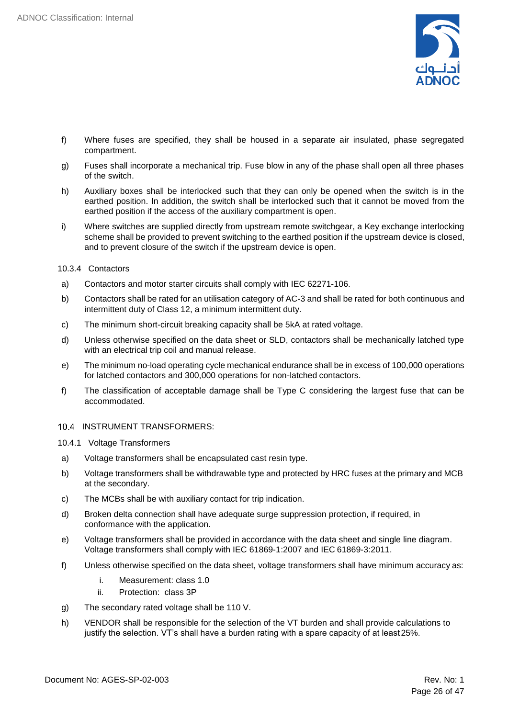

- f) Where fuses are specified, they shall be housed in a separate air insulated, phase segregated compartment.
- g) Fuses shall incorporate a mechanical trip. Fuse blow in any of the phase shall open all three phases of the switch.
- h) Auxiliary boxes shall be interlocked such that they can only be opened when the switch is in the earthed position. In addition, the switch shall be interlocked such that it cannot be moved from the earthed position if the access of the auxiliary compartment is open.
- i) Where switches are supplied directly from upstream remote switchgear, a Key exchange interlocking scheme shall be provided to prevent switching to the earthed position if the upstream device is closed, and to prevent closure of the switch if the upstream device is open.
- 10.3.4 Contactors
- a) Contactors and motor starter circuits shall comply with IEC 62271-106.
- b) Contactors shall be rated for an utilisation category of AC-3 and shall be rated for both continuous and intermittent duty of Class 12, a minimum intermittent duty.
- c) The minimum short-circuit breaking capacity shall be 5kA at rated voltage.
- d) Unless otherwise specified on the data sheet or SLD, contactors shall be mechanically latched type with an electrical trip coil and manual release.
- e) The minimum no-load operating cycle mechanical endurance shall be in excess of 100,000 operations for latched contactors and 300,000 operations for non-latched contactors.
- f) The classification of acceptable damage shall be Type C considering the largest fuse that can be accommodated.
- <span id="page-25-0"></span>10.4 INSTRUMENT TRANSFORMERS:

10.4.1 Voltage Transformers

- a) Voltage transformers shall be encapsulated cast resin type.
- b) Voltage transformers shall be withdrawable type and protected by HRC fuses at the primary and MCB at the secondary.
- c) The MCBs shall be with auxiliary contact for trip indication.
- d) Broken delta connection shall have adequate surge suppression protection, if required, in conformance with the application.
- e) Voltage transformers shall be provided in accordance with the data sheet and single line diagram. Voltage transformers shall comply with IEC 61869-1:2007 and IEC 61869-3:2011.
- f) Unless otherwise specified on the data sheet, voltage transformers shall have minimum accuracy as:
	- i. Measurement: class 1.0
	- ii. Protection: class 3P
- g) The secondary rated voltage shall be 110 V.
- h) VENDOR shall be responsible for the selection of the VT burden and shall provide calculations to justify the selection. VT's shall have a burden rating with a spare capacity of at least25%.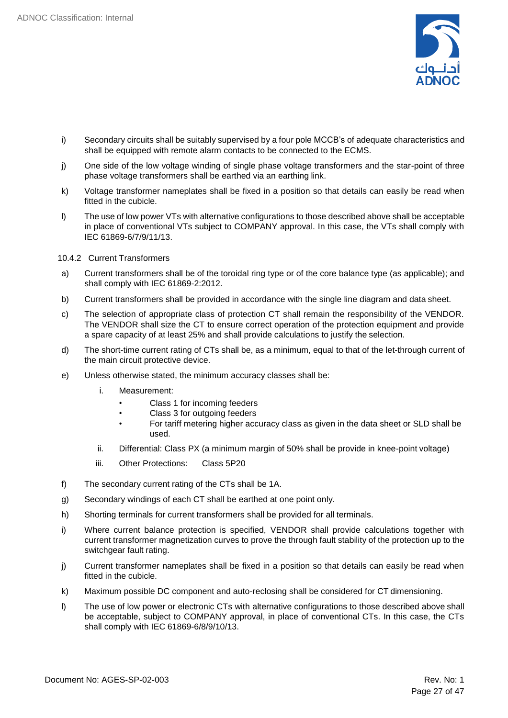

- i) Secondary circuits shall be suitably supervised by a four pole MCCB's of adequate characteristics and shall be equipped with remote alarm contacts to be connected to the ECMS.
- j) One side of the low voltage winding of single phase voltage transformers and the star-point of three phase voltage transformers shall be earthed via an earthing link.
- k) Voltage transformer nameplates shall be fixed in a position so that details can easily be read when fitted in the cubicle.
- l) The use of low power VTs with alternative configurations to those described above shall be acceptable in place of conventional VTs subject to COMPANY approval. In this case, the VTs shall comply with IEC 61869-6/7/9/11/13.
- 10.4.2 Current Transformers
- a) Current transformers shall be of the toroidal ring type or of the core balance type (as applicable); and shall comply with IEC 61869-2:2012.
- b) Current transformers shall be provided in accordance with the single line diagram and data sheet.
- c) The selection of appropriate class of protection CT shall remain the responsibility of the VENDOR. The VENDOR shall size the CT to ensure correct operation of the protection equipment and provide a spare capacity of at least 25% and shall provide calculations to justify the selection.
- d) The short-time current rating of CTs shall be, as a minimum, equal to that of the let-through current of the main circuit protective device.
- e) Unless otherwise stated, the minimum accuracy classes shall be:
	- i. Measurement:
		- Class 1 for incoming feeders
		- Class 3 for outgoing feeders
		- For tariff metering higher accuracy class as given in the data sheet or SLD shall be used.
	- ii. Differential: Class PX (a minimum margin of 50% shall be provide in knee-point voltage)
	- iii. Other Protections: Class 5P20
- f) The secondary current rating of the CTs shall be 1A.
- g) Secondary windings of each CT shall be earthed at one point only.
- h) Shorting terminals for current transformers shall be provided for all terminals.
- i) Where current balance protection is specified, VENDOR shall provide calculations together with current transformer magnetization curves to prove the through fault stability of the protection up to the switchgear fault rating.
- j) Current transformer nameplates shall be fixed in a position so that details can easily be read when fitted in the cubicle.
- k) Maximum possible DC component and auto-reclosing shall be considered for CT dimensioning.
- l) The use of low power or electronic CTs with alternative configurations to those described above shall be acceptable, subject to COMPANY approval, in place of conventional CTs. In this case, the CTs shall comply with IEC 61869-6/8/9/10/13.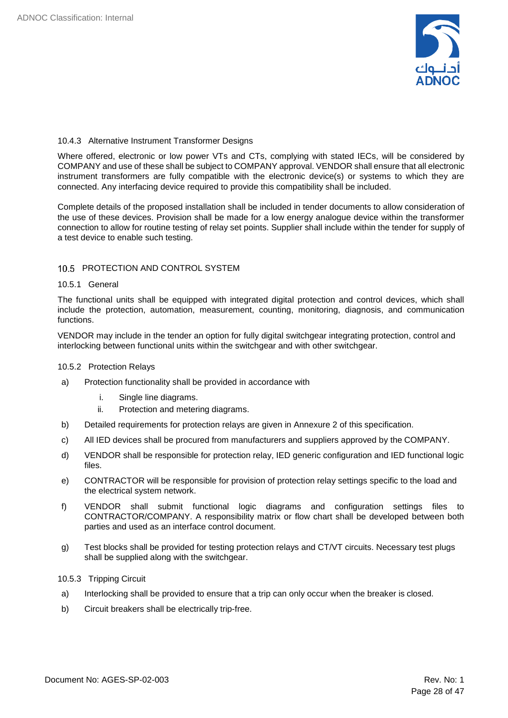

#### 10.4.3 Alternative Instrument Transformer Designs

Where offered, electronic or low power VTs and CTs, complying with stated IECs, will be considered by COMPANY and use of these shall be subject to COMPANY approval. VENDOR shall ensure that all electronic instrument transformers are fully compatible with the electronic device(s) or systems to which they are connected. Any interfacing device required to provide this compatibility shall be included.

Complete details of the proposed installation shall be included in tender documents to allow consideration of the use of these devices. Provision shall be made for a low energy analogue device within the transformer connection to allow for routine testing of relay set points. Supplier shall include within the tender for supply of a test device to enable such testing.

#### <span id="page-27-0"></span>10.5 PROTECTION AND CONTROL SYSTEM

#### 10.5.1 General

The functional units shall be equipped with integrated digital protection and control devices, which shall include the protection, automation, measurement, counting, monitoring, diagnosis, and communication functions.

VENDOR may include in the tender an option for fully digital switchgear integrating protection, control and interlocking between functional units within the switchgear and with other switchgear.

#### 10.5.2 Protection Relays

- a) Protection functionality shall be provided in accordance with
	- i. Single line diagrams.
	- ii. Protection and metering diagrams.
- b) Detailed requirements for protection relays are given in Annexure 2 of this specification.
- c) All IED devices shall be procured from manufacturers and suppliers approved by the COMPANY.
- d) VENDOR shall be responsible for protection relay, IED generic configuration and IED functional logic files.
- e) CONTRACTOR will be responsible for provision of protection relay settings specific to the load and the electrical system network.
- f) VENDOR shall submit functional logic diagrams and configuration settings files to CONTRACTOR/COMPANY. A responsibility matrix or flow chart shall be developed between both parties and used as an interface control document.
- g) Test blocks shall be provided for testing protection relays and CT/VT circuits. Necessary test plugs shall be supplied along with the switchgear.

#### 10.5.3 Tripping Circuit

- a) Interlocking shall be provided to ensure that a trip can only occur when the breaker is closed.
- b) Circuit breakers shall be electrically trip-free.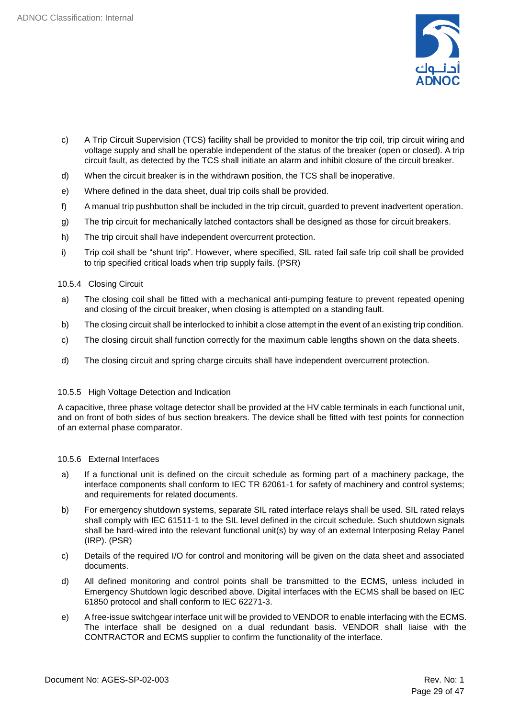

- c) A Trip Circuit Supervision (TCS) facility shall be provided to monitor the trip coil, trip circuit wiring and voltage supply and shall be operable independent of the status of the breaker (open or closed). A trip circuit fault, as detected by the TCS shall initiate an alarm and inhibit closure of the circuit breaker.
- d) When the circuit breaker is in the withdrawn position, the TCS shall be inoperative.
- e) Where defined in the data sheet, dual trip coils shall be provided.
- f) A manual trip pushbutton shall be included in the trip circuit, guarded to prevent inadvertent operation.
- g) The trip circuit for mechanically latched contactors shall be designed as those for circuit breakers.
- h) The trip circuit shall have independent overcurrent protection.
- i) Trip coil shall be "shunt trip". However, where specified, SIL rated fail safe trip coil shall be provided to trip specified critical loads when trip supply fails. (PSR)
- 10.5.4 Closing Circuit
- a) The closing coil shall be fitted with a mechanical anti-pumping feature to prevent repeated opening and closing of the circuit breaker, when closing is attempted on a standing fault.
- b) The closing circuit shall be interlocked to inhibit a close attempt in the event of an existing trip condition.
- c) The closing circuit shall function correctly for the maximum cable lengths shown on the data sheets.
- d) The closing circuit and spring charge circuits shall have independent overcurrent protection.

#### 10.5.5 High Voltage Detection and Indication

A capacitive, three phase voltage detector shall be provided at the HV cable terminals in each functional unit, and on front of both sides of bus section breakers. The device shall be fitted with test points for connection of an external phase comparator.

#### 10.5.6 External Interfaces

- a) If a functional unit is defined on the circuit schedule as forming part of a machinery package, the interface components shall conform to IEC TR 62061-1 for safety of machinery and control systems; and requirements for related documents.
- b) For emergency shutdown systems, separate SIL rated interface relays shall be used. SIL rated relays shall comply with IEC 61511-1 to the SIL level defined in the circuit schedule. Such shutdown signals shall be hard-wired into the relevant functional unit(s) by way of an external Interposing Relay Panel (IRP). (PSR)
- c) Details of the required I/O for control and monitoring will be given on the data sheet and associated documents.
- d) All defined monitoring and control points shall be transmitted to the ECMS, unless included in Emergency Shutdown logic described above. Digital interfaces with the ECMS shall be based on IEC 61850 protocol and shall conform to IEC 62271-3.
- e) A free-issue switchgear interface unit will be provided to VENDOR to enable interfacing with the ECMS. The interface shall be designed on a dual redundant basis. VENDOR shall liaise with the CONTRACTOR and ECMS supplier to confirm the functionality of the interface.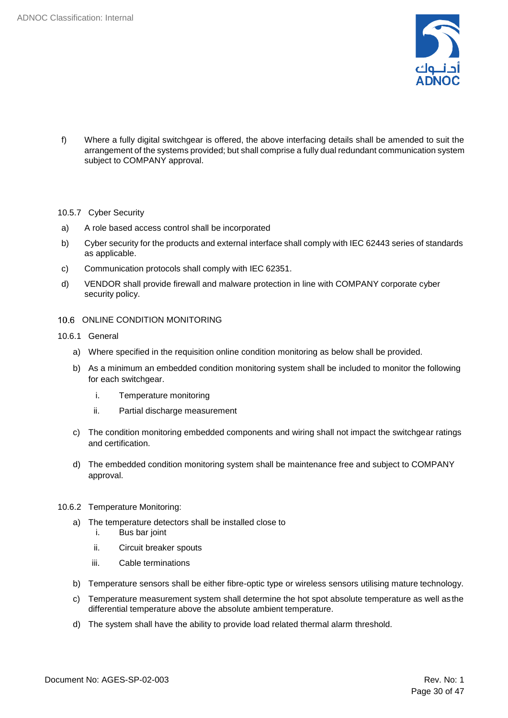

f) Where a fully digital switchgear is offered, the above interfacing details shall be amended to suit the arrangement of the systems provided; but shall comprise a fully dual redundant communication system subject to COMPANY approval.

#### 10.5.7 Cyber Security

- a) A role based access control shall be incorporated
- b) Cyber security for the products and external interface shall comply with IEC 62443 series of standards as applicable.
- c) Communication protocols shall comply with IEC 62351.
- d) VENDOR shall provide firewall and malware protection in line with COMPANY corporate cyber security policy.
- <span id="page-29-0"></span>10.6 ONLINE CONDITION MONITORING
- 10.6.1 General
	- a) Where specified in the requisition online condition monitoring as below shall be provided.
	- b) As a minimum an embedded condition monitoring system shall be included to monitor the following for each switchgear.
		- i. Temperature monitoring
		- ii. Partial discharge measurement
	- c) The condition monitoring embedded components and wiring shall not impact the switchgear ratings and certification.
	- d) The embedded condition monitoring system shall be maintenance free and subject to COMPANY approval.
- 10.6.2 Temperature Monitoring:
	- a) The temperature detectors shall be installed close to
		- i. Bus bar joint
			- ii. Circuit breaker spouts
		- iii. Cable terminations
	- b) Temperature sensors shall be either fibre-optic type or wireless sensors utilising mature technology.
	- c) Temperature measurement system shall determine the hot spot absolute temperature as well as the differential temperature above the absolute ambient temperature.
	- d) The system shall have the ability to provide load related thermal alarm threshold.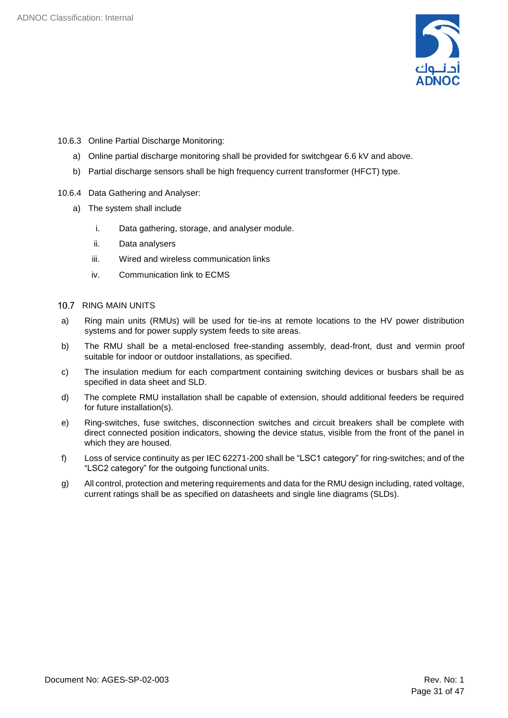

- 10.6.3 Online Partial Discharge Monitoring:
	- a) Online partial discharge monitoring shall be provided for switchgear 6.6 kV and above.
	- b) Partial discharge sensors shall be high frequency current transformer (HFCT) type.
- 10.6.4 Data Gathering and Analyser:
	- a) The system shall include
		- i. Data gathering, storage, and analyser module.
		- ii. Data analysers
		- iii. Wired and wireless communication links
		- iv. Communication link to ECMS

#### <span id="page-30-0"></span>10.7 RING MAIN UNITS

- a) Ring main units (RMUs) will be used for tie-ins at remote locations to the HV power distribution systems and for power supply system feeds to site areas.
- b) The RMU shall be a metal-enclosed free-standing assembly, dead-front, dust and vermin proof suitable for indoor or outdoor installations, as specified.
- c) The insulation medium for each compartment containing switching devices or busbars shall be as specified in data sheet and SLD.
- d) The complete RMU installation shall be capable of extension, should additional feeders be required for future installation(s).
- e) Ring-switches, fuse switches, disconnection switches and circuit breakers shall be complete with direct connected position indicators, showing the device status, visible from the front of the panel in which they are housed.
- f) Loss of service continuity as per IEC 62271-200 shall be "LSC1 category" for ring-switches; and of the "LSC2 category" for the outgoing functional units.
- g) All control, protection and metering requirements and data for the RMU design including, rated voltage, current ratings shall be as specified on datasheets and single line diagrams (SLDs).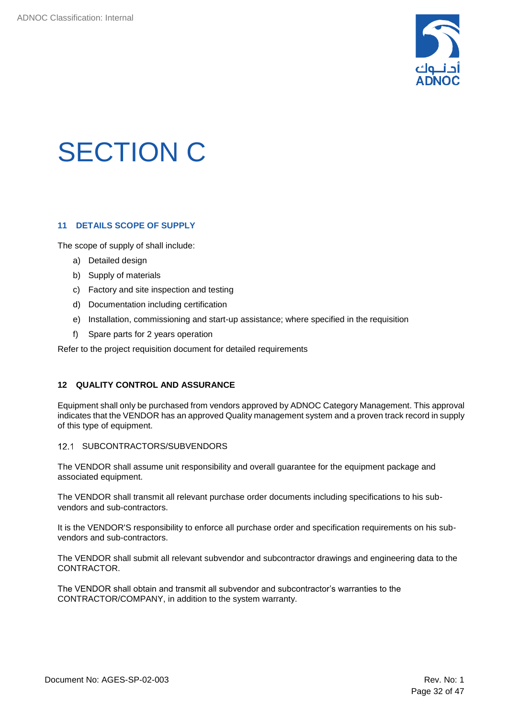

## <span id="page-31-0"></span>SECTION C

### <span id="page-31-1"></span>**11 DETAILS SCOPE OF SUPPLY**

The scope of supply of shall include:

- a) Detailed design
- b) Supply of materials
- c) Factory and site inspection and testing
- d) Documentation including certification
- e) Installation, commissioning and start-up assistance; where specified in the requisition
- f) Spare parts for 2 years operation

Refer to the project requisition document for detailed requirements

#### <span id="page-31-2"></span>**12 QUALITY CONTROL AND ASSURANCE**

Equipment shall only be purchased from vendors approved by ADNOC Category Management. This approval indicates that the VENDOR has an approved Quality management system and a proven track record in supply of this type of equipment.

#### <span id="page-31-3"></span>12.1 SUBCONTRACTORS/SUBVENDORS

The VENDOR shall assume unit responsibility and overall guarantee for the equipment package and associated equipment.

The VENDOR shall transmit all relevant purchase order documents including specifications to his subvendors and sub-contractors.

It is the VENDOR'S responsibility to enforce all purchase order and specification requirements on his subvendors and sub-contractors.

The VENDOR shall submit all relevant subvendor and subcontractor drawings and engineering data to the CONTRACTOR.

The VENDOR shall obtain and transmit all subvendor and subcontractor's warranties to the CONTRACTOR/COMPANY, in addition to the system warranty.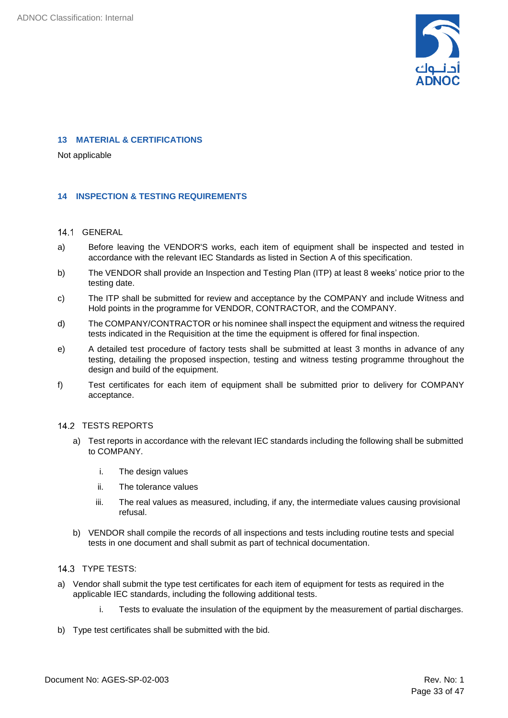

#### <span id="page-32-0"></span>**13 MATERIAL & CERTIFICATIONS**

Not applicable

#### <span id="page-32-1"></span>**14 INSPECTION & TESTING REQUIREMENTS**

#### <span id="page-32-2"></span>14.1 GENERAL

- a) Before leaving the VENDOR'S works, each item of equipment shall be inspected and tested in accordance with the relevant IEC Standards as listed in Section A of this specification.
- b) The VENDOR shall provide an Inspection and Testing Plan (ITP) at least 8 weeks' notice prior to the testing date.
- c) The ITP shall be submitted for review and acceptance by the COMPANY and include Witness and Hold points in the programme for VENDOR, CONTRACTOR, and the COMPANY.
- d) The COMPANY/CONTRACTOR or his nominee shall inspect the equipment and witness the required tests indicated in the Requisition at the time the equipment is offered for final inspection.
- e) A detailed test procedure of factory tests shall be submitted at least 3 months in advance of any testing, detailing the proposed inspection, testing and witness testing programme throughout the design and build of the equipment.
- f) Test certificates for each item of equipment shall be submitted prior to delivery for COMPANY acceptance.

#### 14.2 TESTS REPORTS

- <span id="page-32-3"></span>a) Test reports in accordance with the relevant IEC standards including the following shall be submitted to COMPANY.
	- i. The design values
	- ii. The tolerance values
	- iii. The real values as measured, including, if any, the intermediate values causing provisional refusal.
- b) VENDOR shall compile the records of all inspections and tests including routine tests and special tests in one document and shall submit as part of technical documentation.

#### <span id="page-32-4"></span>14.3 TYPE TESTS:

- a) Vendor shall submit the type test certificates for each item of equipment for tests as required in the applicable IEC standards, including the following additional tests.
	- i. Tests to evaluate the insulation of the equipment by the measurement of partial discharges.
- b) Type test certificates shall be submitted with the bid.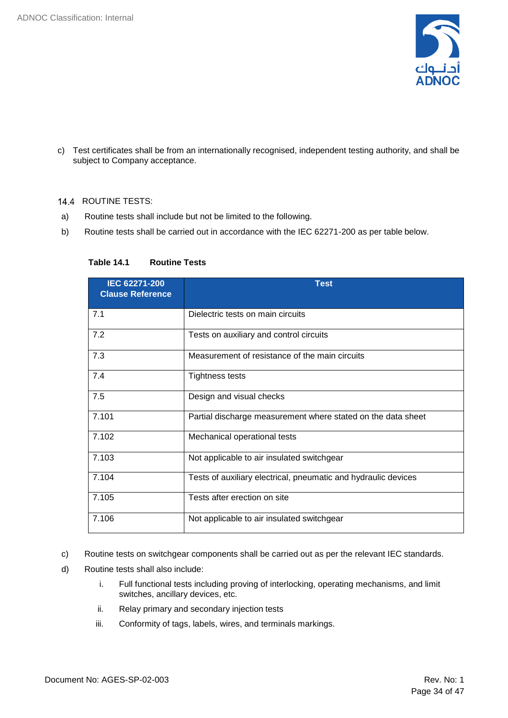

c) Test certificates shall be from an internationally recognised, independent testing authority, and shall be subject to Company acceptance.

#### <span id="page-33-0"></span>14.4 ROUTINE TESTS:

- a) Routine tests shall include but not be limited to the following.
- b) Routine tests shall be carried out in accordance with the IEC 62271-200 as per table below.

| IEC 62271-200<br><b>Clause Reference</b> | <b>Test</b>                                                    |
|------------------------------------------|----------------------------------------------------------------|
| 7.1                                      | Dielectric tests on main circuits                              |
| 7.2                                      | Tests on auxiliary and control circuits                        |
| 7.3                                      | Measurement of resistance of the main circuits                 |
| 7.4                                      | <b>Tightness tests</b>                                         |
| 7.5                                      | Design and visual checks                                       |
| 7.101                                    | Partial discharge measurement where stated on the data sheet   |
| 7.102                                    | Mechanical operational tests                                   |
| 7.103                                    | Not applicable to air insulated switchgear                     |
| 7.104                                    | Tests of auxiliary electrical, pneumatic and hydraulic devices |
| 7.105                                    | Tests after erection on site                                   |
| 7.106                                    | Not applicable to air insulated switchgear                     |

#### **Table 14.1 Routine Tests**

- c) Routine tests on switchgear components shall be carried out as per the relevant IEC standards.
- d) Routine tests shall also include:
	- i. Full functional tests including proving of interlocking, operating mechanisms, and limit switches, ancillary devices, etc.
	- ii. Relay primary and secondary injection tests
	- iii. Conformity of tags, labels, wires, and terminals markings.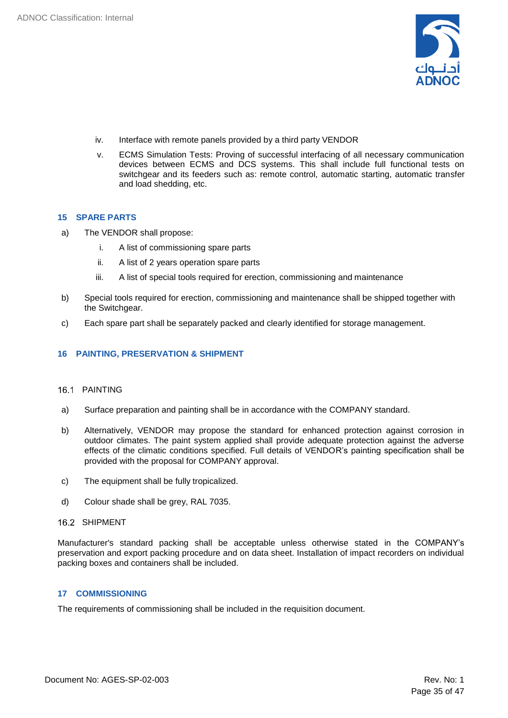

- iv. Interface with remote panels provided by a third party VENDOR
- v. ECMS Simulation Tests: Proving of successful interfacing of all necessary communication devices between ECMS and DCS systems. This shall include full functional tests on switchgear and its feeders such as: remote control, automatic starting, automatic transfer and load shedding, etc.

#### <span id="page-34-0"></span>**15 SPARE PARTS**

- a) The VENDOR shall propose:
	- i. A list of commissioning spare parts
	- ii. A list of 2 years operation spare parts
	- iii. A list of special tools required for erection, commissioning and maintenance
- b) Special tools required for erection, commissioning and maintenance shall be shipped together with the Switchgear.
- c) Each spare part shall be separately packed and clearly identified for storage management.

#### <span id="page-34-1"></span>**16 PAINTING, PRESERVATION & SHIPMENT**

#### <span id="page-34-2"></span>16.1 PAINTING

- a) Surface preparation and painting shall be in accordance with the COMPANY standard.
- b) Alternatively, VENDOR may propose the standard for enhanced protection against corrosion in outdoor climates. The paint system applied shall provide adequate protection against the adverse effects of the climatic conditions specified. Full details of VENDOR's painting specification shall be provided with the proposal for COMPANY approval.
- c) The equipment shall be fully tropicalized.
- d) Colour shade shall be grey, RAL 7035.
- <span id="page-34-3"></span>16.2 SHIPMENT

Manufacturer's standard packing shall be acceptable unless otherwise stated in the COMPANY's preservation and export packing procedure and on data sheet. Installation of impact recorders on individual packing boxes and containers shall be included.

#### <span id="page-34-4"></span>**17 COMMISSIONING**

The requirements of commissioning shall be included in the requisition document.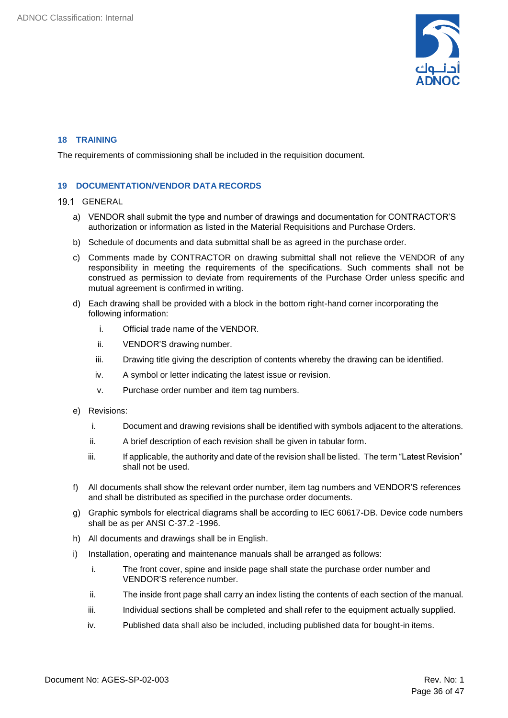

#### <span id="page-35-0"></span>**18 TRAINING**

The requirements of commissioning shall be included in the requisition document.

#### <span id="page-35-1"></span>**19 DOCUMENTATION/VENDOR DATA RECORDS**

#### 19.1 GENERAL

- <span id="page-35-2"></span>a) VENDOR shall submit the type and number of drawings and documentation for CONTRACTOR'S authorization or information as listed in the Material Requisitions and Purchase Orders.
- b) Schedule of documents and data submittal shall be as agreed in the purchase order.
- c) Comments made by CONTRACTOR on drawing submittal shall not relieve the VENDOR of any responsibility in meeting the requirements of the specifications. Such comments shall not be construed as permission to deviate from requirements of the Purchase Order unless specific and mutual agreement is confirmed in writing.
- d) Each drawing shall be provided with a block in the bottom right-hand corner incorporating the following information:
	- i. Official trade name of the VENDOR.
	- ii. VENDOR'S drawing number.
	- iii. Drawing title giving the description of contents whereby the drawing can be identified.
	- iv. A symbol or letter indicating the latest issue or revision.
	- v. Purchase order number and item tag numbers.
- e) Revisions:
	- i. Document and drawing revisions shall be identified with symbols adjacent to the alterations.
	- ii. A brief description of each revision shall be given in tabular form.
	- iii. If applicable, the authority and date of the revision shall be listed. The term "Latest Revision" shall not be used.
- f) All documents shall show the relevant order number, item tag numbers and VENDOR'S references and shall be distributed as specified in the purchase order documents.
- g) Graphic symbols for electrical diagrams shall be according to IEC 60617-DB. Device code numbers shall be as per ANSI C-37.2 -1996.
- h) All documents and drawings shall be in English.
- i) Installation, operating and maintenance manuals shall be arranged as follows:
	- i. The front cover, spine and inside page shall state the purchase order number and VENDOR'S reference number.
	- ii. The inside front page shall carry an index listing the contents of each section of the manual.
	- iii. Individual sections shall be completed and shall refer to the equipment actually supplied.
	- iv. Published data shall also be included, including published data for bought-in items.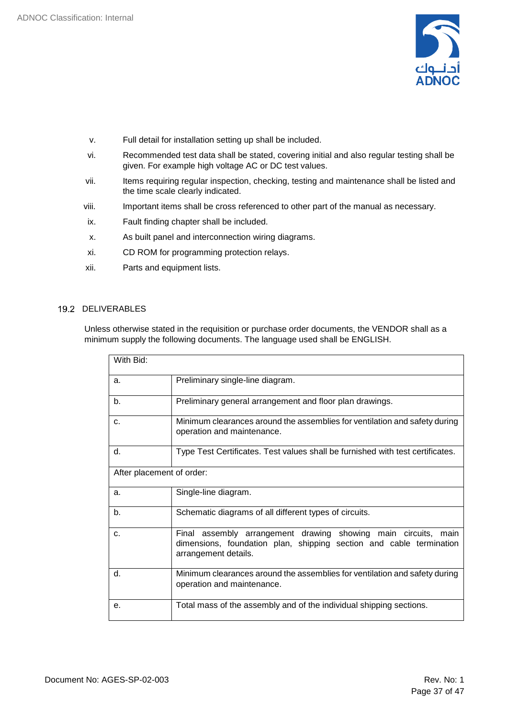

- v. Full detail for installation setting up shall be included.
- vi. Recommended test data shall be stated, covering initial and also regular testing shall be given. For example high voltage AC or DC test values.
- vii. Items requiring regular inspection, checking, testing and maintenance shall be listed and the time scale clearly indicated.
- viii. Important items shall be cross referenced to other part of the manual as necessary.
- ix. Fault finding chapter shall be included.
- x. As built panel and interconnection wiring diagrams.
- xi. CD ROM for programming protection relays.
- xii. Parts and equipment lists.

#### 19.2 DELIVERABLES

<span id="page-36-0"></span>Unless otherwise stated in the requisition or purchase order documents, the VENDOR shall as a minimum supply the following documents. The language used shall be ENGLISH.

| With Bid:                 |                                                                                                                                                               |  |
|---------------------------|---------------------------------------------------------------------------------------------------------------------------------------------------------------|--|
|                           |                                                                                                                                                               |  |
| a.                        | Preliminary single-line diagram.                                                                                                                              |  |
| b.                        | Preliminary general arrangement and floor plan drawings.                                                                                                      |  |
| C.                        | Minimum clearances around the assemblies for ventilation and safety during<br>operation and maintenance.                                                      |  |
| d.                        | Type Test Certificates. Test values shall be furnished with test certificates.                                                                                |  |
| After placement of order: |                                                                                                                                                               |  |
| a.                        | Single-line diagram.                                                                                                                                          |  |
| b.                        | Schematic diagrams of all different types of circuits.                                                                                                        |  |
| C.                        | Final assembly arrangement drawing showing main circuits, main<br>dimensions, foundation plan, shipping section and cable termination<br>arrangement details. |  |
| d.                        | Minimum clearances around the assemblies for ventilation and safety during<br>operation and maintenance.                                                      |  |
| е.                        | Total mass of the assembly and of the individual shipping sections.                                                                                           |  |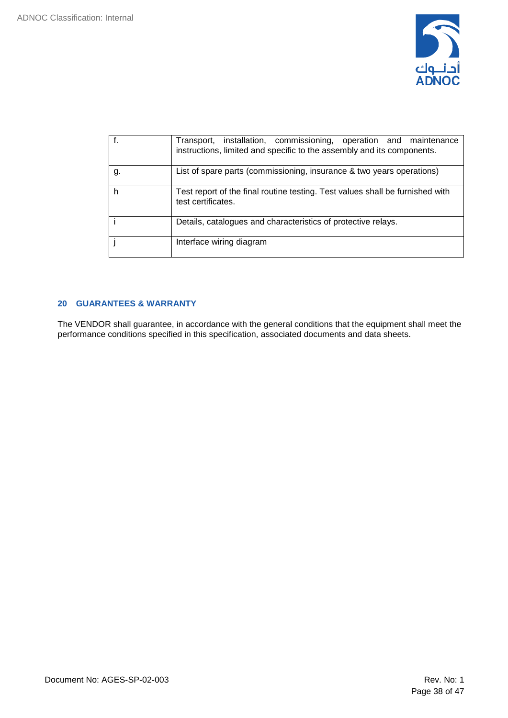

|    | Transport, installation, commissioning, operation and maintenance<br>instructions, limited and specific to the assembly and its components. |
|----|---------------------------------------------------------------------------------------------------------------------------------------------|
| g. | List of spare parts (commissioning, insurance & two years operations)                                                                       |
|    | Test report of the final routine testing. Test values shall be furnished with<br>test certificates.                                         |
|    | Details, catalogues and characteristics of protective relays.                                                                               |
|    | Interface wiring diagram                                                                                                                    |

### <span id="page-37-0"></span>**20 GUARANTEES & WARRANTY**

The VENDOR shall guarantee, in accordance with the general conditions that the equipment shall meet the performance conditions specified in this specification, associated documents and data sheets.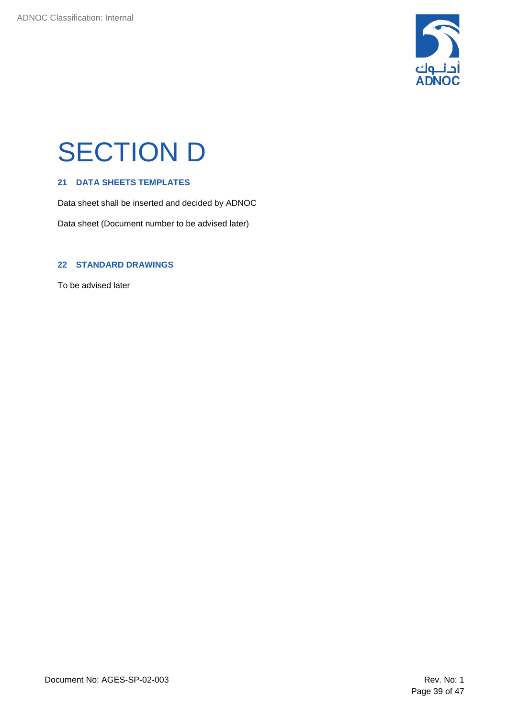

## <span id="page-38-0"></span>SECTION D

### <span id="page-38-1"></span>**21 DATA SHEETS TEMPLATES**

Data sheet shall be inserted and decided by ADNOC

Data sheet (Document number to be advised later)

#### <span id="page-38-2"></span>**22 STANDARD DRAWINGS**

To be advised later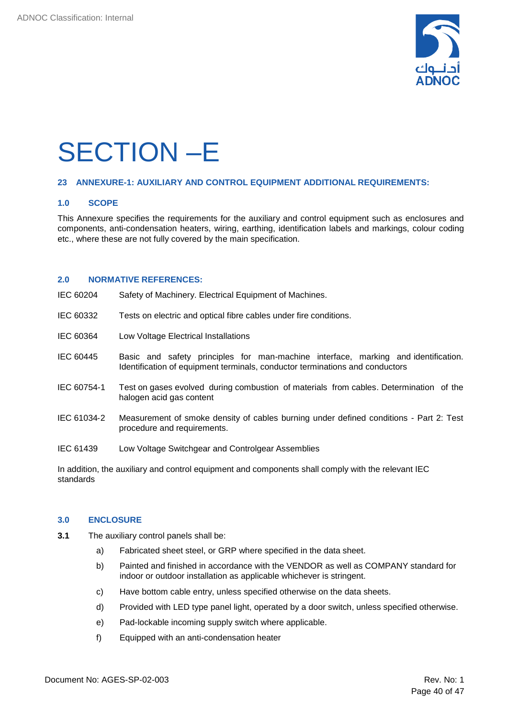

## <span id="page-39-0"></span>SECTION –E

#### <span id="page-39-1"></span>**23 ANNEXURE-1: AUXILIARY AND CONTROL EQUIPMENT ADDITIONAL REQUIREMENTS:**

#### **1.0 SCOPE**

This Annexure specifies the requirements for the auxiliary and control equipment such as enclosures and components, anti-condensation heaters, wiring, earthing, identification labels and markings, colour coding etc., where these are not fully covered by the main specification.

#### **2.0 NORMATIVE REFERENCES:**

- IEC 60204 Safety of Machinery. Electrical Equipment of Machines.
- IEC 60332 Tests on electric and optical fibre cables under fire conditions.
- IEC 60364 Low Voltage Electrical Installations
- IEC 60445 Basic and safety principles for man-machine interface, marking and identification. Identification of equipment terminals, conductor terminations and conductors
- IEC 60754-1 Test on gases evolved during combustion of materials from cables. Determination of the halogen acid gas content
- IEC 61034‑2 Measurement of smoke density of cables burning under defined conditions Part 2: Test procedure and requirements.
- IEC 61439 Low Voltage Switchgear and Controlgear Assemblies

In addition, the auxiliary and control equipment and components shall comply with the relevant IEC standards

#### **3.0 ENCLOSURE**

- **3.1** The auxiliary control panels shall be:
	- a) Fabricated sheet steel, or GRP where specified in the data sheet.
	- b) Painted and finished in accordance with the VENDOR as well as COMPANY standard for indoor or outdoor installation as applicable whichever is stringent.
	- c) Have bottom cable entry, unless specified otherwise on the data sheets.
	- d) Provided with LED type panel light, operated by a door switch, unless specified otherwise.
	- e) Pad-lockable incoming supply switch where applicable.
	- f) Equipped with an anti-condensation heater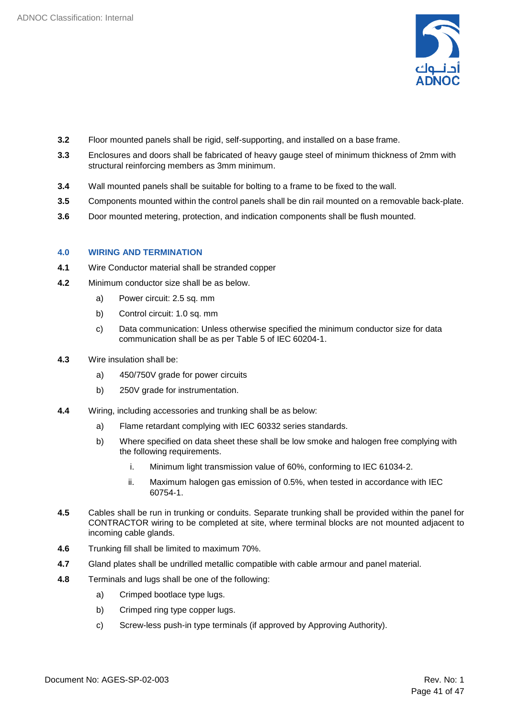

- **3.2** Floor mounted panels shall be rigid, self-supporting, and installed on a base frame.
- **3.3** Enclosures and doors shall be fabricated of heavy gauge steel of minimum thickness of 2mm with structural reinforcing members as 3mm minimum.
- **3.4** Wall mounted panels shall be suitable for bolting to a frame to be fixed to the wall.
- **3.5** Components mounted within the control panels shall be din rail mounted on a removable back-plate.
- **3.6** Door mounted metering, protection, and indication components shall be flush mounted.

### **4.0 WIRING AND TERMINATION**

- **4.1** Wire Conductor material shall be stranded copper
- **4.2** Minimum conductor size shall be as below.
	- a) Power circuit: 2.5 sq. mm
	- b) Control circuit: 1.0 sq. mm
	- c) Data communication: Unless otherwise specified the minimum conductor size for data communication shall be as per Table 5 of IEC 60204-1.
- **4.3** Wire insulation shall be:
	- a) 450/750V grade for power circuits
	- b) 250V grade for instrumentation.
- **4.4** Wiring, including accessories and trunking shall be as below:
	- a) Flame retardant complying with IEC 60332 series standards.
	- b) Where specified on data sheet these shall be low smoke and halogen free complying with the following requirements.
		- i. Minimum light transmission value of 60%, conforming to IEC 61034‑2.
		- ii. Maximum halogen gas emission of 0.5%, when tested in accordance with IEC 60754‑1.
- **4.5** Cables shall be run in trunking or conduits. Separate trunking shall be provided within the panel for CONTRACTOR wiring to be completed at site, where terminal blocks are not mounted adjacent to incoming cable glands.
- **4.6** Trunking fill shall be limited to maximum 70%.
- **4.7** Gland plates shall be undrilled metallic compatible with cable armour and panel material.
- **4.8** Terminals and lugs shall be one of the following:
	- a) Crimped bootlace type lugs.
	- b) Crimped ring type copper lugs.
	- c) Screw-less push-in type terminals (if approved by Approving Authority).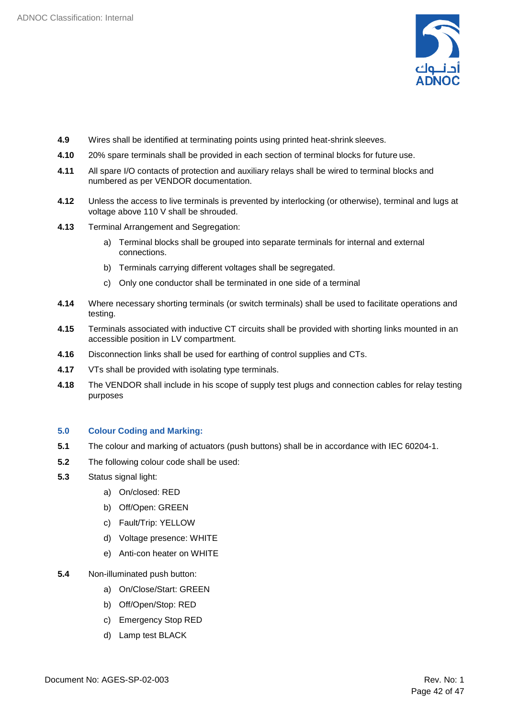

- **4.9** Wires shall be identified at terminating points using printed heat-shrink sleeves.
- **4.10** 20% spare terminals shall be provided in each section of terminal blocks for future use.
- **4.11** All spare I/O contacts of protection and auxiliary relays shall be wired to terminal blocks and numbered as per VENDOR documentation.
- **4.12** Unless the access to live terminals is prevented by interlocking (or otherwise), terminal and lugs at voltage above 110 V shall be shrouded.
- **4.13** Terminal Arrangement and Segregation:
	- a) Terminal blocks shall be grouped into separate terminals for internal and external connections.
	- b) Terminals carrying different voltages shall be segregated.
	- c) Only one conductor shall be terminated in one side of a terminal
- **4.14** Where necessary shorting terminals (or switch terminals) shall be used to facilitate operations and testing.
- **4.15** Terminals associated with inductive CT circuits shall be provided with shorting links mounted in an accessible position in LV compartment.
- **4.16** Disconnection links shall be used for earthing of control supplies and CTs.
- **4.17** VTs shall be provided with isolating type terminals.
- **4.18** The VENDOR shall include in his scope of supply test plugs and connection cables for relay testing purposes

#### **5.0 Colour Coding and Marking:**

- **5.1** The colour and marking of actuators (push buttons) shall be in accordance with IEC 60204-1.
- **5.2** The following colour code shall be used:
- **5.3** Status signal light:
	- a) On/closed: RED
	- b) Off/Open: GREEN
	- c) Fault/Trip: YELLOW
	- d) Voltage presence: WHITE
	- e) Anti-con heater on WHITE
- **5.4** Non-illuminated push button:
	- a) On/Close/Start: GREEN
	- b) Off/Open/Stop: RED
	- c) Emergency Stop RED
	- d) Lamp test BLACK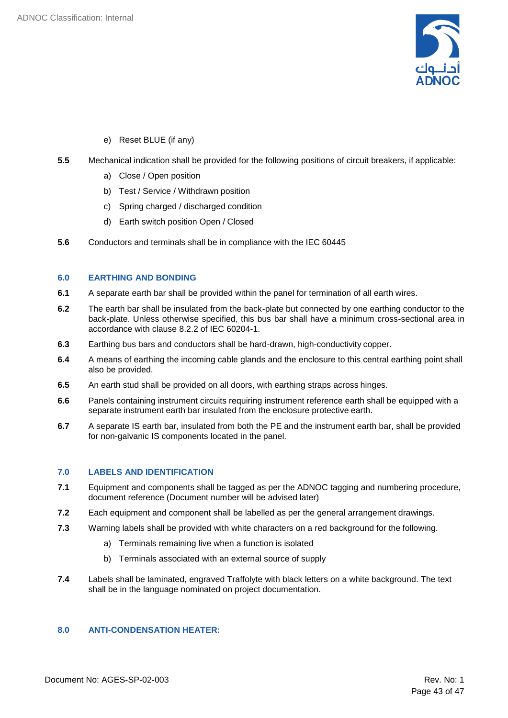

- e) Reset BLUE (if any)
- **5.5** Mechanical indication shall be provided for the following positions of circuit breakers, if applicable:
	- a) Close / Open position
	- b) Test / Service / Withdrawn position
	- c) Spring charged / discharged condition
	- d) Earth switch position Open / Closed
- **5.6** Conductors and terminals shall be in compliance with the IEC 60445

#### **6.0 EARTHING AND BONDING**

- **6.1** A separate earth bar shall be provided within the panel for termination of all earth wires.
- **6.2** The earth bar shall be insulated from the back-plate but connected by one earthing conductor to the back-plate. Unless otherwise specified, this bus bar shall have a minimum cross-sectional area in accordance with clause 8.2.2 of IEC 60204-1.
- **6.3** Earthing bus bars and conductors shall be hard-drawn, high-conductivity copper.
- **6.4** A means of earthing the incoming cable glands and the enclosure to this central earthing point shall also be provided.
- **6.5** An earth stud shall be provided on all doors, with earthing straps across hinges.
- **6.6** Panels containing instrument circuits requiring instrument reference earth shall be equipped with a separate instrument earth bar insulated from the enclosure protective earth.
- **6.7** A separate IS earth bar, insulated from both the PE and the instrument earth bar, shall be provided for non-galvanic IS components located in the panel.

#### **7.0 LABELS AND IDENTIFICATION**

- **7.1** Equipment and components shall be tagged as per the ADNOC tagging and numbering procedure, document reference (Document number will be advised later)
- **7.2** Each equipment and component shall be labelled as per the general arrangement drawings.
- **7.3** Warning labels shall be provided with white characters on a red background for the following.
	- a) Terminals remaining live when a function is isolated
	- b) Terminals associated with an external source of supply
- **7.4** Labels shall be laminated, engraved Traffolyte with black letters on a white background. The text shall be in the language nominated on project documentation.

### **8.0 ANTI-CONDENSATION HEATER:**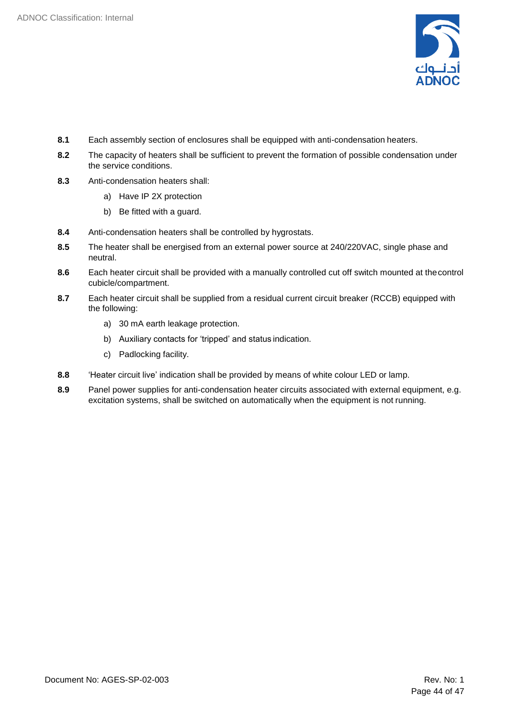

- **8.1** Each assembly section of enclosures shall be equipped with anti-condensation heaters.
- **8.2** The capacity of heaters shall be sufficient to prevent the formation of possible condensation under the service conditions.
- **8.3** Anti-condensation heaters shall:
	- a) Have IP 2X protection
	- b) Be fitted with a guard.
- **8.4** Anti-condensation heaters shall be controlled by hygrostats.
- **8.5** The heater shall be energised from an external power source at 240/220VAC, single phase and neutral.
- **8.6** Each heater circuit shall be provided with a manually controlled cut off switch mounted at thecontrol cubicle/compartment.
- **8.7** Each heater circuit shall be supplied from a residual current circuit breaker (RCCB) equipped with the following:
	- a) 30 mA earth leakage protection.
	- b) Auxiliary contacts for 'tripped' and status indication.
	- c) Padlocking facility.
- **8.8** 'Heater circuit live' indication shall be provided by means of white colour LED or lamp.
- **8.9** Panel power supplies for anti-condensation heater circuits associated with external equipment, e.g. excitation systems, shall be switched on automatically when the equipment is not running.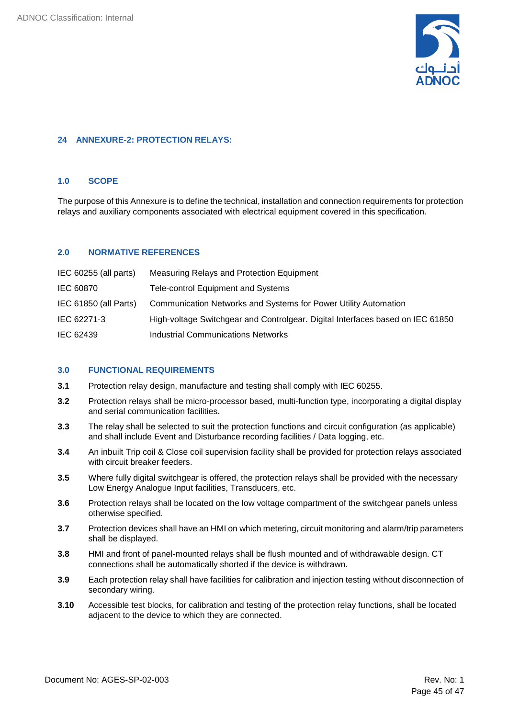

#### <span id="page-44-0"></span>**24 ANNEXURE-2: PROTECTION RELAYS:**

#### **1.0 SCOPE**

The purpose of this Annexure is to define the technical, installation and connection requirements for protection relays and auxiliary components associated with electrical equipment covered in this specification.

#### **2.0 NORMATIVE REFERENCES**

| IEC 60255 (all parts) | Measuring Relays and Protection Equipment                                      |
|-----------------------|--------------------------------------------------------------------------------|
| IEC 60870             | <b>Tele-control Equipment and Systems</b>                                      |
| IEC 61850 (all Parts) | Communication Networks and Systems for Power Utility Automation                |
| IEC 62271-3           | High-voltage Switchgear and Controlgear. Digital Interfaces based on IEC 61850 |
| IEC 62439             | Industrial Communications Networks                                             |

#### **3.0 FUNCTIONAL REQUIREMENTS**

- **3.1** Protection relay design, manufacture and testing shall comply with IEC 60255.
- **3.2** Protection relays shall be micro-processor based, multi-function type, incorporating a digital display and serial communication facilities.
- **3.3** The relay shall be selected to suit the protection functions and circuit configuration (as applicable) and shall include Event and Disturbance recording facilities / Data logging, etc.
- **3.4** An inbuilt Trip coil & Close coil supervision facility shall be provided for protection relays associated with circuit breaker feeders.
- **3.5** Where fully digital switchgear is offered, the protection relays shall be provided with the necessary Low Energy Analogue Input facilities, Transducers, etc.
- **3.6** Protection relays shall be located on the low voltage compartment of the switchgear panels unless otherwise specified.
- **3.7** Protection devices shall have an HMI on which metering, circuit monitoring and alarm/trip parameters shall be displayed.
- **3.8** HMI and front of panel-mounted relays shall be flush mounted and of withdrawable design. CT connections shall be automatically shorted if the device is withdrawn.
- **3.9** Each protection relay shall have facilities for calibration and injection testing without disconnection of secondary wiring.
- **3.10** Accessible test blocks, for calibration and testing of the protection relay functions, shall be located adjacent to the device to which they are connected.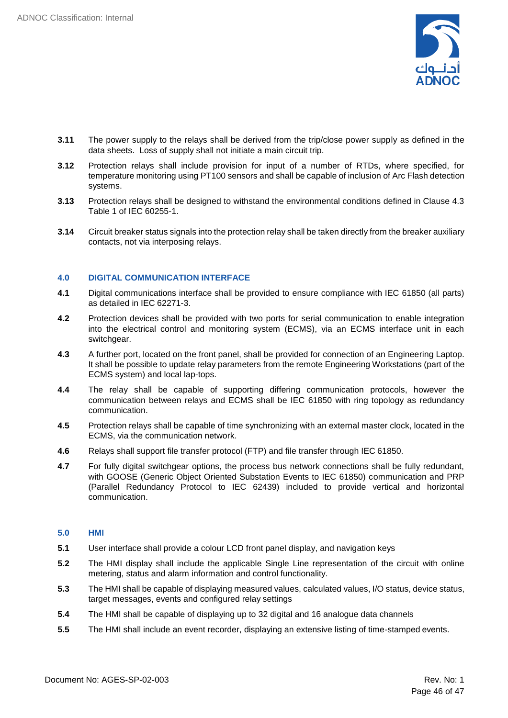

- **3.11** The power supply to the relays shall be derived from the trip/close power supply as defined in the data sheets. Loss of supply shall not initiate a main circuit trip.
- **3.12** Protection relays shall include provision for input of a number of RTDs, where specified, for temperature monitoring using PT100 sensors and shall be capable of inclusion of Arc Flash detection systems.
- **3.13** Protection relays shall be designed to withstand the environmental conditions defined in Clause 4.3 Table 1 of IEC 60255-1.
- **3.14** Circuit breaker status signals into the protection relay shall be taken directly from the breaker auxiliary contacts, not via interposing relays.

#### **4.0 DIGITAL COMMUNICATION INTERFACE**

- **4.1** Digital communications interface shall be provided to ensure compliance with IEC 61850 (all parts) as detailed in IEC 62271-3.
- **4.2** Protection devices shall be provided with two ports for serial communication to enable integration into the electrical control and monitoring system (ECMS), via an ECMS interface unit in each switchgear.
- **4.3** A further port, located on the front panel, shall be provided for connection of an Engineering Laptop. It shall be possible to update relay parameters from the remote Engineering Workstations (part of the ECMS system) and local lap-tops.
- **4.4** The relay shall be capable of supporting differing communication protocols, however the communication between relays and ECMS shall be IEC 61850 with ring topology as redundancy communication.
- **4.5** Protection relays shall be capable of time synchronizing with an external master clock, located in the ECMS, via the communication network.
- **4.6** Relays shall support file transfer protocol (FTP) and file transfer through IEC 61850.
- **4.7** For fully digital switchgear options, the process bus network connections shall be fully redundant, with GOOSE (Generic Object Oriented Substation Events to IEC 61850) communication and PRP (Parallel Redundancy Protocol to IEC 62439) included to provide vertical and horizontal communication.

#### **5.0 HMI**

- **5.1** User interface shall provide a colour LCD front panel display, and navigation keys
- **5.2** The HMI display shall include the applicable Single Line representation of the circuit with online metering, status and alarm information and control functionality.
- **5.3** The HMI shall be capable of displaying measured values, calculated values, I/O status, device status, target messages, events and configured relay settings
- **5.4** The HMI shall be capable of displaying up to 32 digital and 16 analogue data channels
- **5.5** The HMI shall include an event recorder, displaying an extensive listing of time-stamped events.